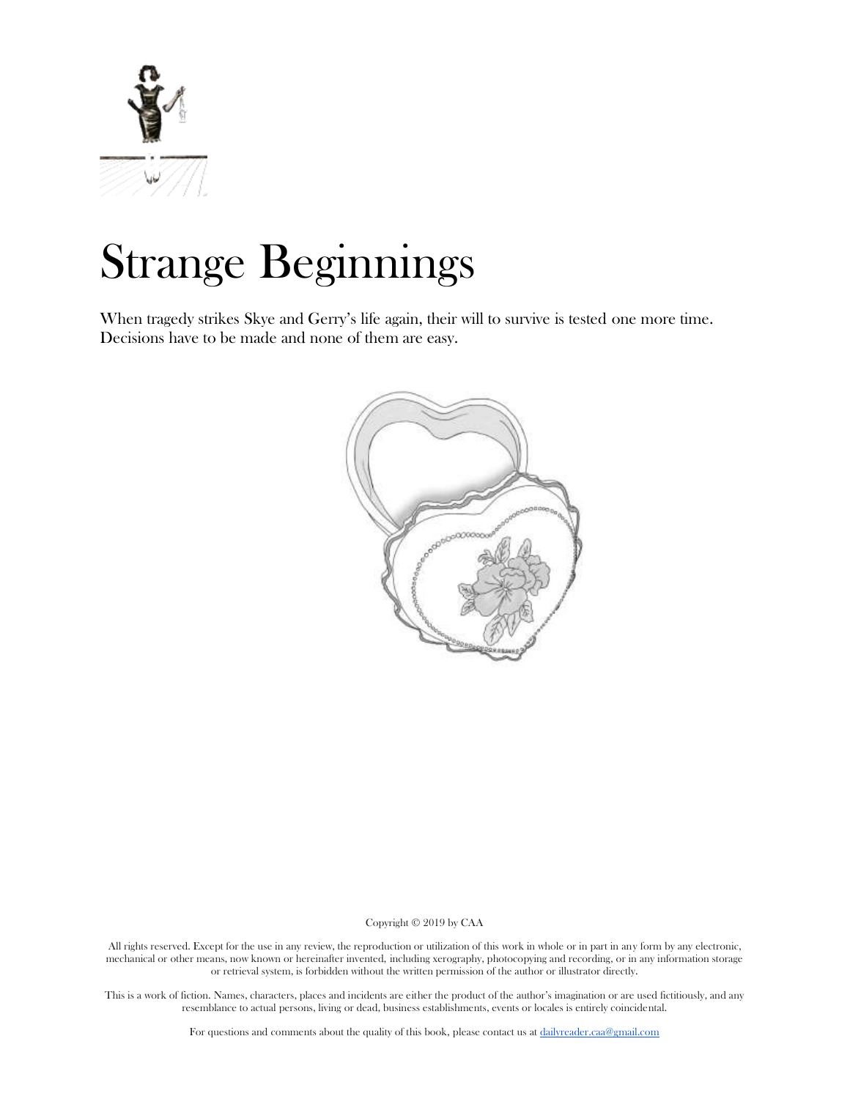

# Strange Beginnings

When tragedy strikes Skye and Gerry's life again, their will to survive is tested one more time. Decisions have to be made and none of them are easy.



Copyright © 2019 by CAA

All rights reserved. Except for the use in any review, the reproduction or utilization of this work in whole or in part in any form by any electronic, mechanical or other means, now known or hereinafter invented, including xerography, photocopying and recording, or in any information storage or retrieval system, is forbidden without the written permission of the author or illustrator directly.

This is a work of fiction. Names, characters, places and incidents are either the product of the author's imagination or are used fictitiously, and any resemblance to actual persons, living or dead, business establishments, events or locales is entirely coincidental.

For questions and comments about the quality of this book, please contact us at [dailyreader.caa@gmail.com](mailto:dailyreader.caa@gmail.com)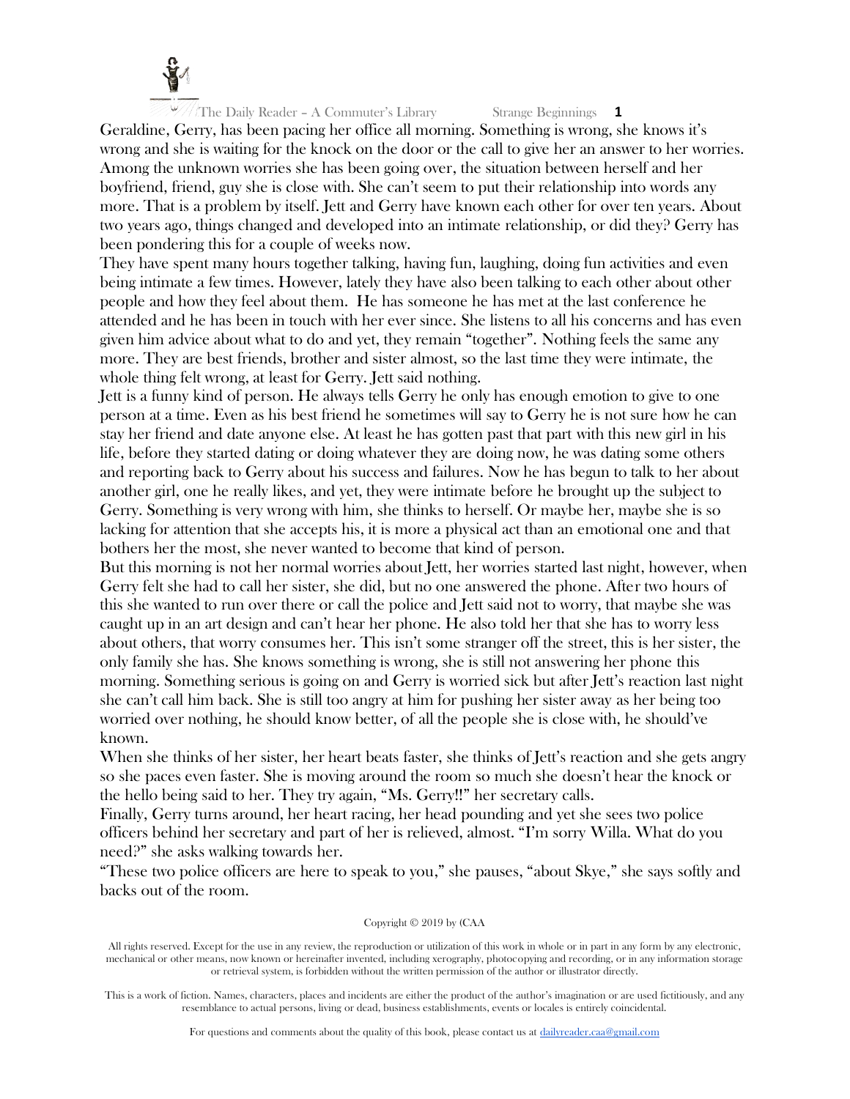

Geraldine, Gerry, has been pacing her office all morning. Something is wrong, she knows it's wrong and she is waiting for the knock on the door or the call to give her an answer to her worries. Among the unknown worries she has been going over, the situation between herself and her boyfriend, friend, guy she is close with. She can't seem to put their relationship into words any more. That is a problem by itself. Jett and Gerry have known each other for over ten years. About two years ago, things changed and developed into an intimate relationship, or did they? Gerry has been pondering this for a couple of weeks now.

They have spent many hours together talking, having fun, laughing, doing fun activities and even being intimate a few times. However, lately they have also been talking to each other about other people and how they feel about them. He has someone he has met at the last conference he attended and he has been in touch with her ever since. She listens to all his concerns and has even given him advice about what to do and yet, they remain "together". Nothing feels the same any more. They are best friends, brother and sister almost, so the last time they were intimate, the whole thing felt wrong, at least for Gerry. Jett said nothing.

Jett is a funny kind of person. He always tells Gerry he only has enough emotion to give to one person at a time. Even as his best friend he sometimes will say to Gerry he is not sure how he can stay her friend and date anyone else. At least he has gotten past that part with this new girl in his life, before they started dating or doing whatever they are doing now, he was dating some others and reporting back to Gerry about his success and failures. Now he has begun to talk to her about another girl, one he really likes, and yet, they were intimate before he brought up the subject to Gerry. Something is very wrong with him, she thinks to herself. Or maybe her, maybe she is so lacking for attention that she accepts his, it is more a physical act than an emotional one and that bothers her the most, she never wanted to become that kind of person.

But this morning is not her normal worries about Jett, her worries started last night, however, when Gerry felt she had to call her sister, she did, but no one answered the phone. After two hours of this she wanted to run over there or call the police and Jett said not to worry, that maybe she was caught up in an art design and can't hear her phone. He also told her that she has to worry less about others, that worry consumes her. This isn't some stranger off the street, this is her sister, the only family she has. She knows something is wrong, she is still not answering her phone this morning. Something serious is going on and Gerry is worried sick but after Jett's reaction last night she can't call him back. She is still too angry at him for pushing her sister away as her being too worried over nothing, he should know better, of all the people she is close with, he should've known.

When she thinks of her sister, her heart beats faster, she thinks of Jett's reaction and she gets angry so she paces even faster. She is moving around the room so much she doesn't hear the knock or the hello being said to her. They try again, "Ms. Gerry!!" her secretary calls.

Finally, Gerry turns around, her heart racing, her head pounding and yet she sees two police officers behind her secretary and part of her is relieved, almost. "I'm sorry Willa. What do you need?" she asks walking towards her.

"These two police officers are here to speak to you," she pauses, "about Skye," she says softly and backs out of the room.

#### Copyright © 2019 by (CAA

All rights reserved. Except for the use in any review, the reproduction or utilization of this work in whole or in part in any form by any electronic, mechanical or other means, now known or hereinafter invented, including xerography, photocopying and recording, or in any information storage or retrieval system, is forbidden without the written permission of the author or illustrator directly.

This is a work of fiction. Names, characters, places and incidents are either the product of the author's imagination or are used fictitiously, and any resemblance to actual persons, living or dead, business establishments, events or locales is entirely coincidental.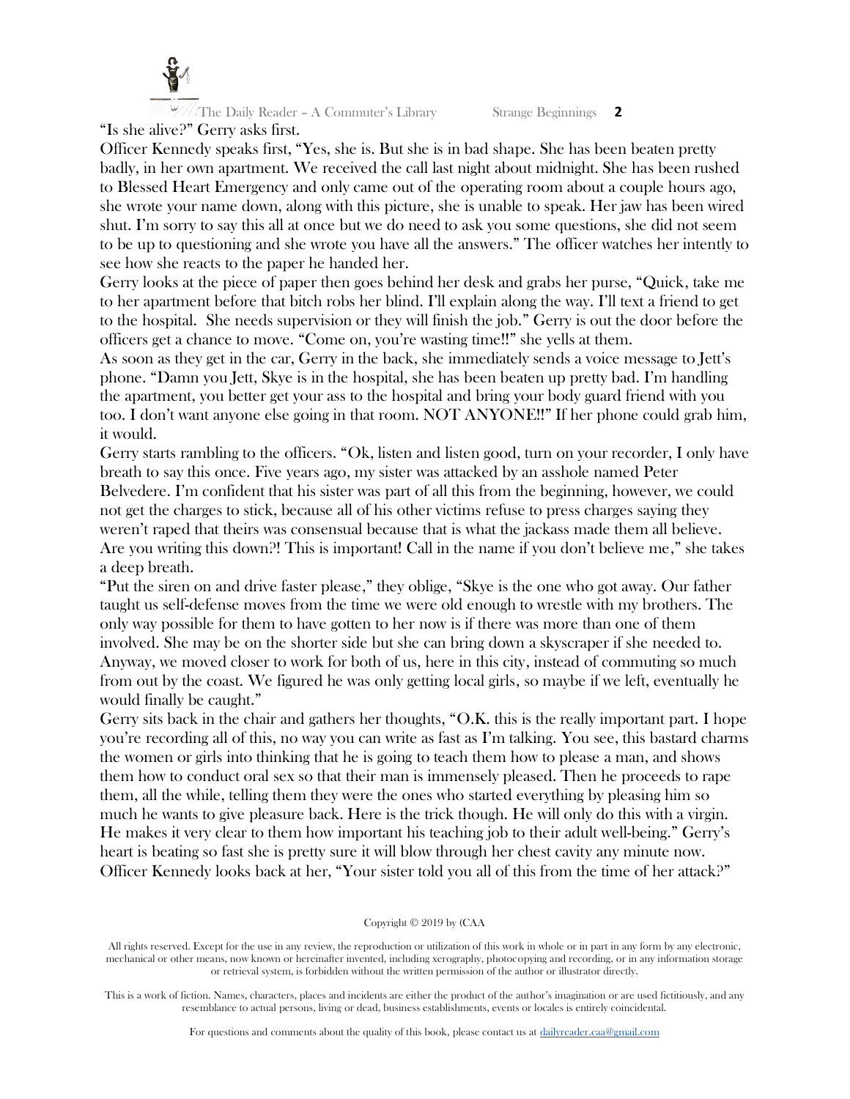

The Daily Reader – A Commuter's Library Strange Beginnings **2** "Is she alive?" Gerry asks first.

Officer Kennedy speaks first, "Yes, she is. But she is in bad shape. She has been beaten pretty badly, in her own apartment. We received the call last night about midnight. She has been rushed to Blessed Heart Emergency and only came out of the operating room about a couple hours ago, she wrote your name down, along with this picture, she is unable to speak. Her jaw has been wired shut. I'm sorry to say this all at once but we do need to ask you some questions, she did not seem to be up to questioning and she wrote you have all the answers." The officer watches her intently to see how she reacts to the paper he handed her.

Gerry looks at the piece of paper then goes behind her desk and grabs her purse, "Quick, take me to her apartment before that bitch robs her blind. I'll explain along the way. I'll text a friend to get to the hospital. She needs supervision or they will finish the job." Gerry is out the door before the officers get a chance to move. "Come on, you're wasting time!!" she yells at them.

As soon as they get in the car, Gerry in the back, she immediately sends a voice message to Jett's phone. "Damn you Jett, Skye is in the hospital, she has been beaten up pretty bad. I'm handling the apartment, you better get your ass to the hospital and bring your body guard friend with you too. I don't want anyone else going in that room. NOT ANYONE!!" If her phone could grab him, it would.

Gerry starts rambling to the officers. "Ok, listen and listen good, turn on your recorder, I only have breath to say this once. Five years ago, my sister was attacked by an asshole named Peter Belvedere. I'm confident that his sister was part of all this from the beginning, however, we could not get the charges to stick, because all of his other victims refuse to press charges saying they weren't raped that theirs was consensual because that is what the jackass made them all believe. Are you writing this down?! This is important! Call in the name if you don't believe me," she takes a deep breath.

"Put the siren on and drive faster please," they oblige, "Skye is the one who got away. Our father taught us self-defense moves from the time we were old enough to wrestle with my brothers. The only way possible for them to have gotten to her now is if there was more than one of them involved. She may be on the shorter side but she can bring down a skyscraper if she needed to. Anyway, we moved closer to work for both of us, here in this city, instead of commuting so much from out by the coast. We figured he was only getting local girls, so maybe if we left, eventually he would finally be caught."

Gerry sits back in the chair and gathers her thoughts, "O.K. this is the really important part. I hope you're recording all of this, no way you can write as fast as I'm talking. You see, this bastard charms the women or girls into thinking that he is going to teach them how to please a man, and shows them how to conduct oral sex so that their man is immensely pleased. Then he proceeds to rape them, all the while, telling them they were the ones who started everything by pleasing him so much he wants to give pleasure back. Here is the trick though. He will only do this with a virgin. He makes it very clear to them how important his teaching job to their adult well-being." Gerry's heart is beating so fast she is pretty sure it will blow through her chest cavity any minute now. Officer Kennedy looks back at her, "Your sister told you all of this from the time of her attack?"

#### Copyright © 2019 by (CAA

All rights reserved. Except for the use in any review, the reproduction or utilization of this work in whole or in part in any form by any electronic, mechanical or other means, now known or hereinafter invented, including xerography, photocopying and recording, or in any information storage or retrieval system, is forbidden without the written permission of the author or illustrator directly.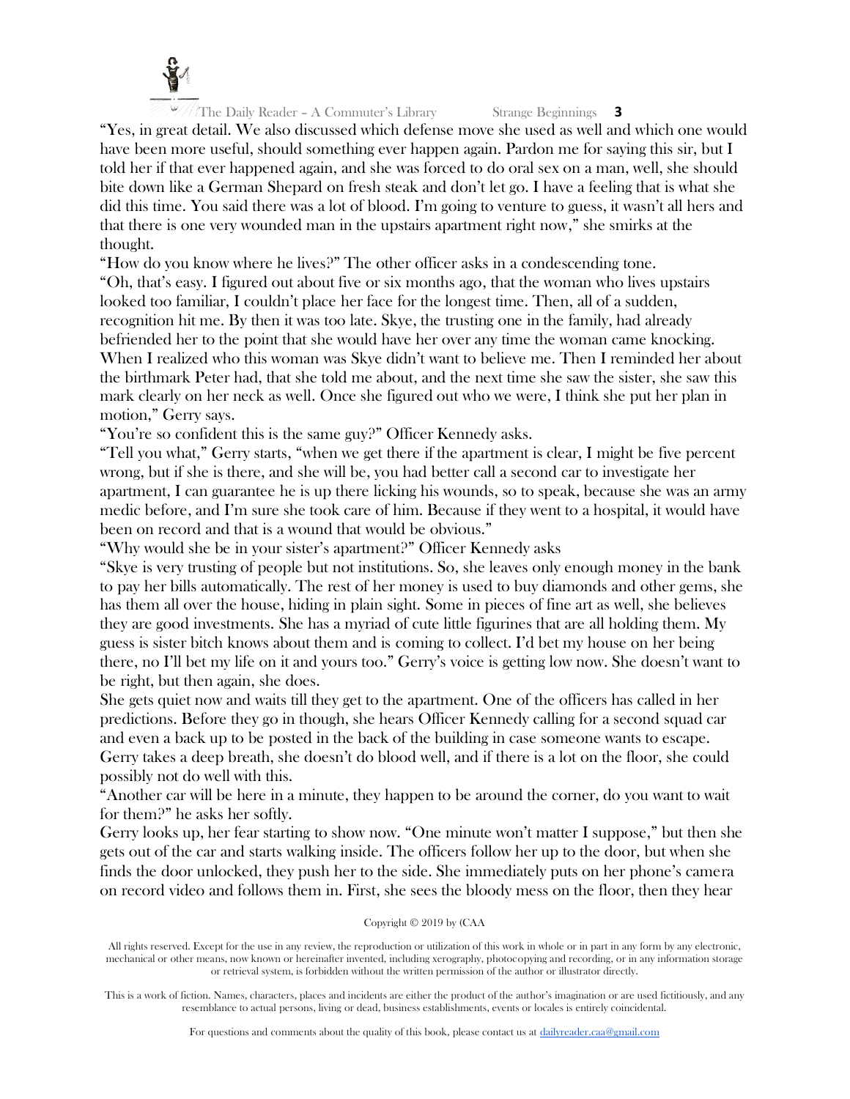

"Yes, in great detail. We also discussed which defense move she used as well and which one would have been more useful, should something ever happen again. Pardon me for saying this sir, but I told her if that ever happened again, and she was forced to do oral sex on a man, well, she should bite down like a German Shepard on fresh steak and don't let go. I have a feeling that is what she did this time. You said there was a lot of blood. I'm going to venture to guess, it wasn't all hers and that there is one very wounded man in the upstairs apartment right now," she smirks at the thought.

"How do you know where he lives?" The other officer asks in a condescending tone. "Oh, that's easy. I figured out about five or six months ago, that the woman who lives upstairs looked too familiar, I couldn't place her face for the longest time. Then, all of a sudden, recognition hit me. By then it was too late. Skye, the trusting one in the family, had already befriended her to the point that she would have her over any time the woman came knocking. When I realized who this woman was Skye didn't want to believe me. Then I reminded her about the birthmark Peter had, that she told me about, and the next time she saw the sister, she saw this mark clearly on her neck as well. Once she figured out who we were, I think she put her plan in motion," Gerry says.

"You're so confident this is the same guy?" Officer Kennedy asks.

"Tell you what," Gerry starts, "when we get there if the apartment is clear, I might be five percent wrong, but if she is there, and she will be, you had better call a second car to investigate her apartment, I can guarantee he is up there licking his wounds, so to speak, because she was an army medic before, and I'm sure she took care of him. Because if they went to a hospital, it would have been on record and that is a wound that would be obvious."

"Why would she be in your sister's apartment?" Officer Kennedy asks

"Skye is very trusting of people but not institutions. So, she leaves only enough money in the bank to pay her bills automatically. The rest of her money is used to buy diamonds and other gems, she has them all over the house, hiding in plain sight. Some in pieces of fine art as well, she believes they are good investments. She has a myriad of cute little figurines that are all holding them. My guess is sister bitch knows about them and is coming to collect. I'd bet my house on her being there, no I'll bet my life on it and yours too." Gerry's voice is getting low now. She doesn't want to be right, but then again, she does.

She gets quiet now and waits till they get to the apartment. One of the officers has called in her predictions. Before they go in though, she hears Officer Kennedy calling for a second squad car and even a back up to be posted in the back of the building in case someone wants to escape. Gerry takes a deep breath, she doesn't do blood well, and if there is a lot on the floor, she could possibly not do well with this.

"Another car will be here in a minute, they happen to be around the corner, do you want to wait for them?" he asks her softly.

Gerry looks up, her fear starting to show now. "One minute won't matter I suppose," but then she gets out of the car and starts walking inside. The officers follow her up to the door, but when she finds the door unlocked, they push her to the side. She immediately puts on her phone's camera on record video and follows them in. First, she sees the bloody mess on the floor, then they hear

# Copyright © 2019 by (CAA

All rights reserved. Except for the use in any review, the reproduction or utilization of this work in whole or in part in any form by any electronic, mechanical or other means, now known or hereinafter invented, including xerography, photocopying and recording, or in any information storage or retrieval system, is forbidden without the written permission of the author or illustrator directly.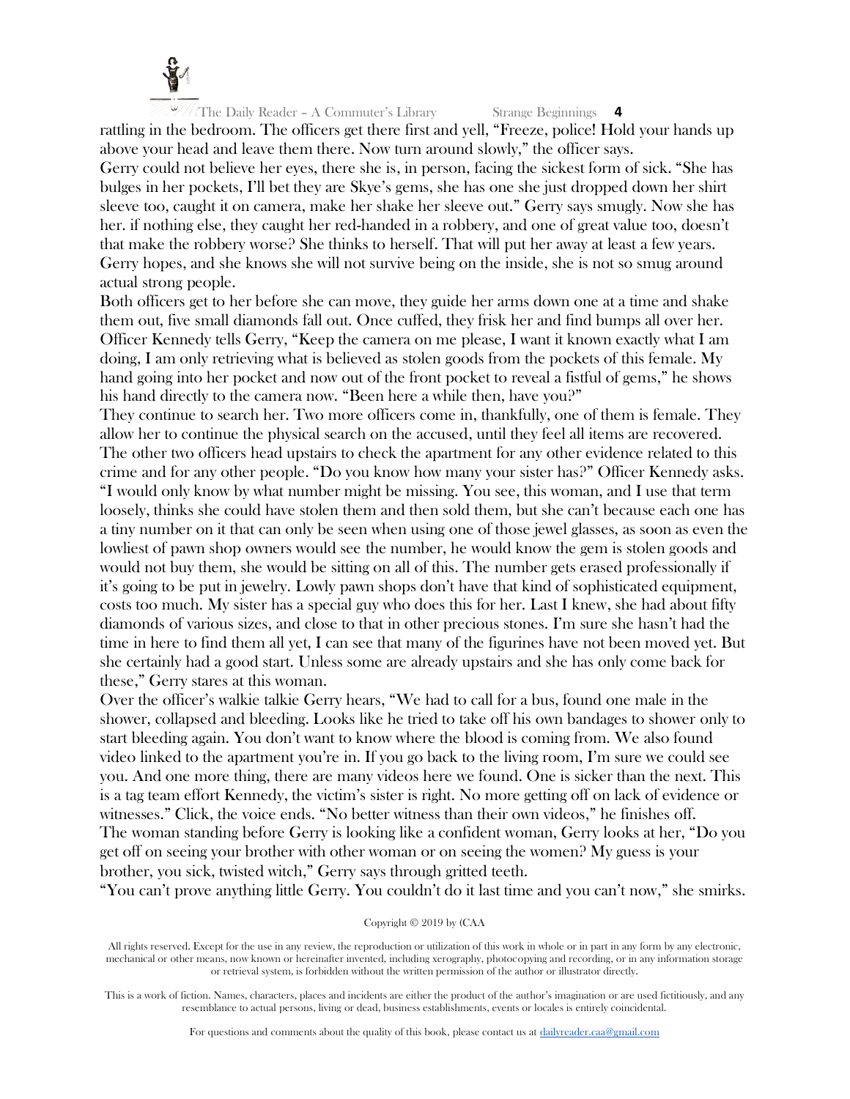

rattling in the bedroom. The officers get there first and yell, "Freeze, police! Hold your hands up above your head and leave them there. Now turn around slowly," the officer says.

Gerry could not believe her eyes, there she is, in person, facing the sickest form of sick. "She has bulges in her pockets, I'll bet they are Skye's gems, she has one she just dropped down her shirt sleeve too, caught it on camera, make her shake her sleeve out." Gerry says smugly. Now she has her. if nothing else, they caught her red-handed in a robbery, and one of great value too, doesn't that make the robbery worse? She thinks to herself. That will put her away at least a few years. Gerry hopes, and she knows she will not survive being on the inside, she is not so smug around actual strong people.

Both officers get to her before she can move, they guide her arms down one at a time and shake them out, five small diamonds fall out. Once cuffed, they frisk her and find bumps all over her. Officer Kennedy tells Gerry, "Keep the camera on me please, I want it known exactly what I am doing, I am only retrieving what is believed as stolen goods from the pockets of this female. My hand going into her pocket and now out of the front pocket to reveal a fistful of gems," he shows his hand directly to the camera now. "Been here a while then, have you?"

They continue to search her. Two more officers come in, thankfully, one of them is female. They allow her to continue the physical search on the accused, until they feel all items are recovered. The other two officers head upstairs to check the apartment for any other evidence related to this crime and for any other people. "Do you know how many your sister has?" Officer Kennedy asks. "I would only know by what number might be missing. You see, this woman, and I use that term loosely, thinks she could have stolen them and then sold them, but she can't because each one has a tiny number on it that can only be seen when using one of those jewel glasses, as soon as even the lowliest of pawn shop owners would see the number, he would know the gem is stolen goods and would not buy them, she would be sitting on all of this. The number gets erased professionally if it's going to be put in jewelry. Lowly pawn shops don't have that kind of sophisticated equipment, costs too much. My sister has a special guy who does this for her. Last I knew, she had about fifty diamonds of various sizes, and close to that in other precious stones. I'm sure she hasn't had the time in here to find them all yet, I can see that many of the figurines have not been moved yet. But she certainly had a good start. Unless some are already upstairs and she has only come back for these," Gerry stares at this woman.

Over the officer's walkie talkie Gerry hears, "We had to call for a bus, found one male in the shower, collapsed and bleeding. Looks like he tried to take off his own bandages to shower only to start bleeding again. You don't want to know where the blood is coming from. We also found video linked to the apartment you're in. If you go back to the living room, I'm sure we could see you. And one more thing, there are many videos here we found. One is sicker than the next. This is a tag team effort Kennedy, the victim's sister is right. No more getting off on lack of evidence or witnesses." Click, the voice ends. "No better witness than their own videos," he finishes off. The woman standing before Gerry is looking like a confident woman, Gerry looks at her, "Do you get off on seeing your brother with other woman or on seeing the women? My guess is your brother, you sick, twisted witch," Gerry says through gritted teeth.

"You can't prove anything little Gerry. You couldn't do it last time and you can't now," she smirks.

#### Copyright © 2019 by (CAA

All rights reserved. Except for the use in any review, the reproduction or utilization of this work in whole or in part in any form by any electronic, mechanical or other means, now known or hereinafter invented, including xerography, photocopying and recording, or in any information storage or retrieval system, is forbidden without the written permission of the author or illustrator directly.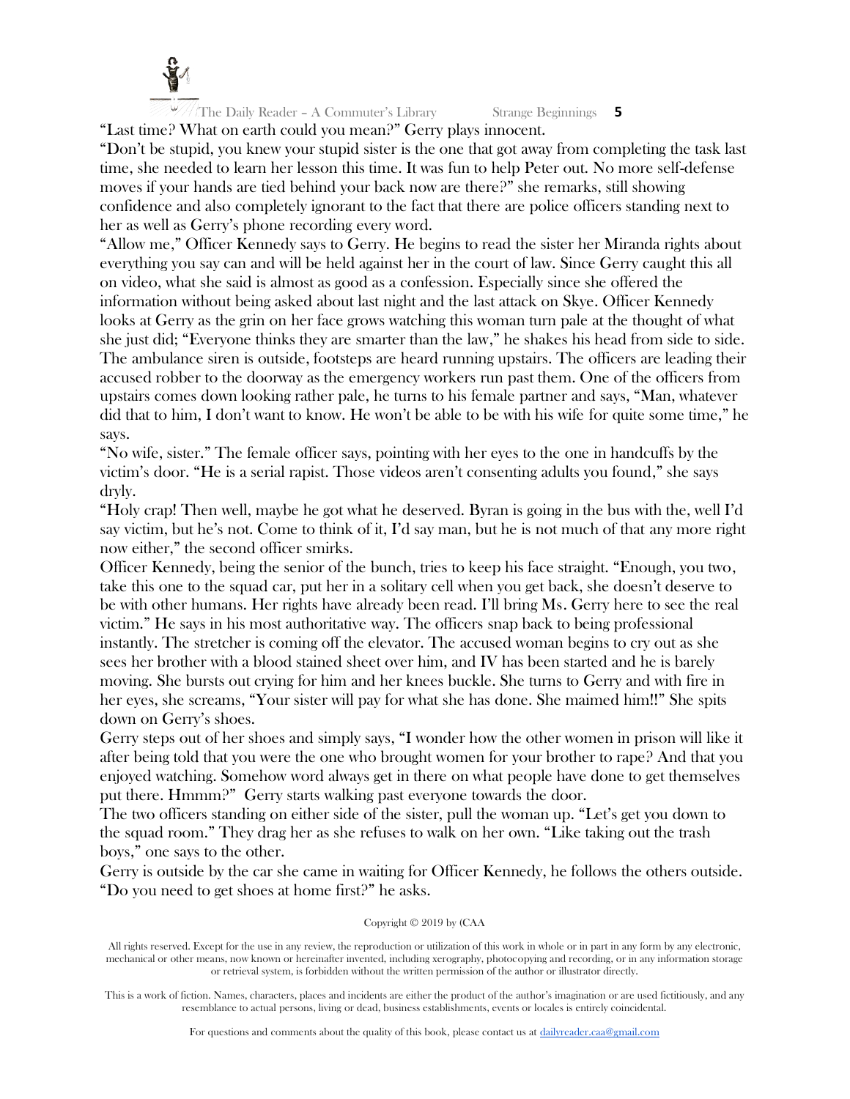

 $\frac{10}{2}$  The Daily Reader – A Commuter's Library Strange Beginnings 5 "Last time? What on earth could you mean?" Gerry plays innocent.

"Don't be stupid, you knew your stupid sister is the one that got away from completing the task last time, she needed to learn her lesson this time. It was fun to help Peter out. No more self-defense moves if your hands are tied behind your back now are there?" she remarks, still showing confidence and also completely ignorant to the fact that there are police officers standing next to her as well as Gerry's phone recording every word.

"Allow me," Officer Kennedy says to Gerry. He begins to read the sister her Miranda rights about everything you say can and will be held against her in the court of law. Since Gerry caught this all on video, what she said is almost as good as a confession. Especially since she offered the information without being asked about last night and the last attack on Skye. Officer Kennedy looks at Gerry as the grin on her face grows watching this woman turn pale at the thought of what she just did; "Everyone thinks they are smarter than the law," he shakes his head from side to side. The ambulance siren is outside, footsteps are heard running upstairs. The officers are leading their accused robber to the doorway as the emergency workers run past them. One of the officers from upstairs comes down looking rather pale, he turns to his female partner and says, "Man, whatever did that to him, I don't want to know. He won't be able to be with his wife for quite some time," he says.

"No wife, sister." The female officer says, pointing with her eyes to the one in handcuffs by the victim's door. "He is a serial rapist. Those videos aren't consenting adults you found," she says dryly.

"Holy crap! Then well, maybe he got what he deserved. Byran is going in the bus with the, well I'd say victim, but he's not. Come to think of it, I'd say man, but he is not much of that any more right now either," the second officer smirks.

Officer Kennedy, being the senior of the bunch, tries to keep his face straight. "Enough, you two, take this one to the squad car, put her in a solitary cell when you get back, she doesn't deserve to be with other humans. Her rights have already been read. I'll bring Ms. Gerry here to see the real victim." He says in his most authoritative way. The officers snap back to being professional instantly. The stretcher is coming off the elevator. The accused woman begins to cry out as she sees her brother with a blood stained sheet over him, and IV has been started and he is barely moving. She bursts out crying for him and her knees buckle. She turns to Gerry and with fire in her eyes, she screams, "Your sister will pay for what she has done. She maimed him!!" She spits down on Gerry's shoes.

Gerry steps out of her shoes and simply says, "I wonder how the other women in prison will like it after being told that you were the one who brought women for your brother to rape? And that you enjoyed watching. Somehow word always get in there on what people have done to get themselves put there. Hmmm?" Gerry starts walking past everyone towards the door.

The two officers standing on either side of the sister, pull the woman up. "Let's get you down to the squad room." They drag her as she refuses to walk on her own. "Like taking out the trash boys," one says to the other.

Gerry is outside by the car she came in waiting for Officer Kennedy, he follows the others outside. "Do you need to get shoes at home first?" he asks.

#### Copyright © 2019 by (CAA

All rights reserved. Except for the use in any review, the reproduction or utilization of this work in whole or in part in any form by any electronic, mechanical or other means, now known or hereinafter invented, including xerography, photocopying and recording, or in any information storage or retrieval system, is forbidden without the written permission of the author or illustrator directly.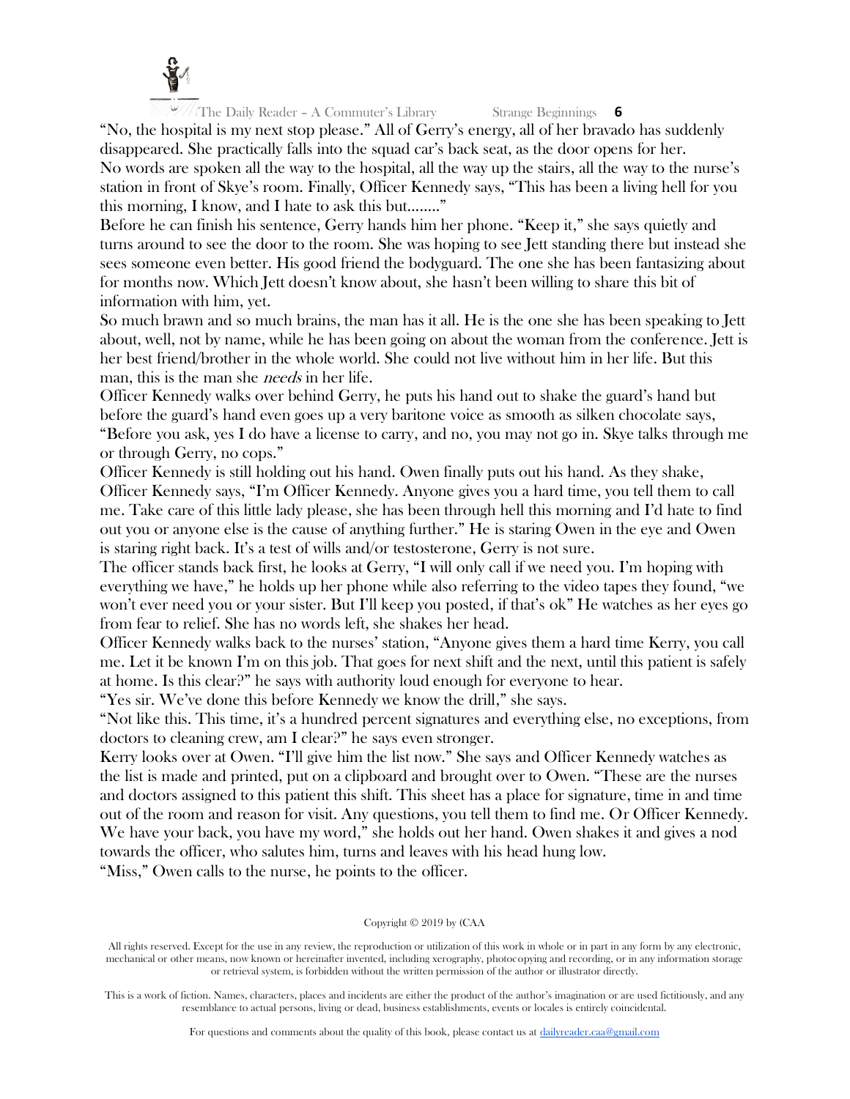

"No, the hospital is my next stop please." All of Gerry's energy, all of her bravado has suddenly disappeared. She practically falls into the squad car's back seat, as the door opens for her. No words are spoken all the way to the hospital, all the way up the stairs, all the way to the nurse's station in front of Skye's room. Finally, Officer Kennedy says, "This has been a living hell for you this morning, I know, and I hate to ask this but…….."

Before he can finish his sentence, Gerry hands him her phone. "Keep it," she says quietly and turns around to see the door to the room. She was hoping to see Jett standing there but instead she sees someone even better. His good friend the bodyguard. The one she has been fantasizing about for months now. Which Jett doesn't know about, she hasn't been willing to share this bit of information with him, yet.

So much brawn and so much brains, the man has it all. He is the one she has been speaking to Jett about, well, not by name, while he has been going on about the woman from the conference. Jett is her best friend/brother in the whole world. She could not live without him in her life. But this man, this is the man she *needs* in her life.

Officer Kennedy walks over behind Gerry, he puts his hand out to shake the guard's hand but before the guard's hand even goes up a very baritone voice as smooth as silken chocolate says, "Before you ask, yes I do have a license to carry, and no, you may not go in. Skye talks through me or through Gerry, no cops."

Officer Kennedy is still holding out his hand. Owen finally puts out his hand. As they shake, Officer Kennedy says, "I'm Officer Kennedy. Anyone gives you a hard time, you tell them to call me. Take care of this little lady please, she has been through hell this morning and I'd hate to find out you or anyone else is the cause of anything further." He is staring Owen in the eye and Owen is staring right back. It's a test of wills and/or testosterone, Gerry is not sure.

The officer stands back first, he looks at Gerry, "I will only call if we need you. I'm hoping with everything we have," he holds up her phone while also referring to the video tapes they found, "we won't ever need you or your sister. But I'll keep you posted, if that's ok" He watches as her eyes go from fear to relief. She has no words left, she shakes her head.

Officer Kennedy walks back to the nurses' station, "Anyone gives them a hard time Kerry, you call me. Let it be known I'm on this job. That goes for next shift and the next, until this patient is safely at home. Is this clear?" he says with authority loud enough for everyone to hear.

"Yes sir. We've done this before Kennedy we know the drill," she says.

"Not like this. This time, it's a hundred percent signatures and everything else, no exceptions, from doctors to cleaning crew, am I clear?" he says even stronger.

Kerry looks over at Owen. "I'll give him the list now." She says and Officer Kennedy watches as the list is made and printed, put on a clipboard and brought over to Owen. "These are the nurses and doctors assigned to this patient this shift. This sheet has a place for signature, time in and time out of the room and reason for visit. Any questions, you tell them to find me. Or Officer Kennedy. We have your back, you have my word," she holds out her hand. Owen shakes it and gives a nod towards the officer, who salutes him, turns and leaves with his head hung low.

"Miss," Owen calls to the nurse, he points to the officer.

# Copyright © 2019 by (CAA

All rights reserved. Except for the use in any review, the reproduction or utilization of this work in whole or in part in any form by any electronic, mechanical or other means, now known or hereinafter invented, including xerography, photocopying and recording, or in any information storage or retrieval system, is forbidden without the written permission of the author or illustrator directly.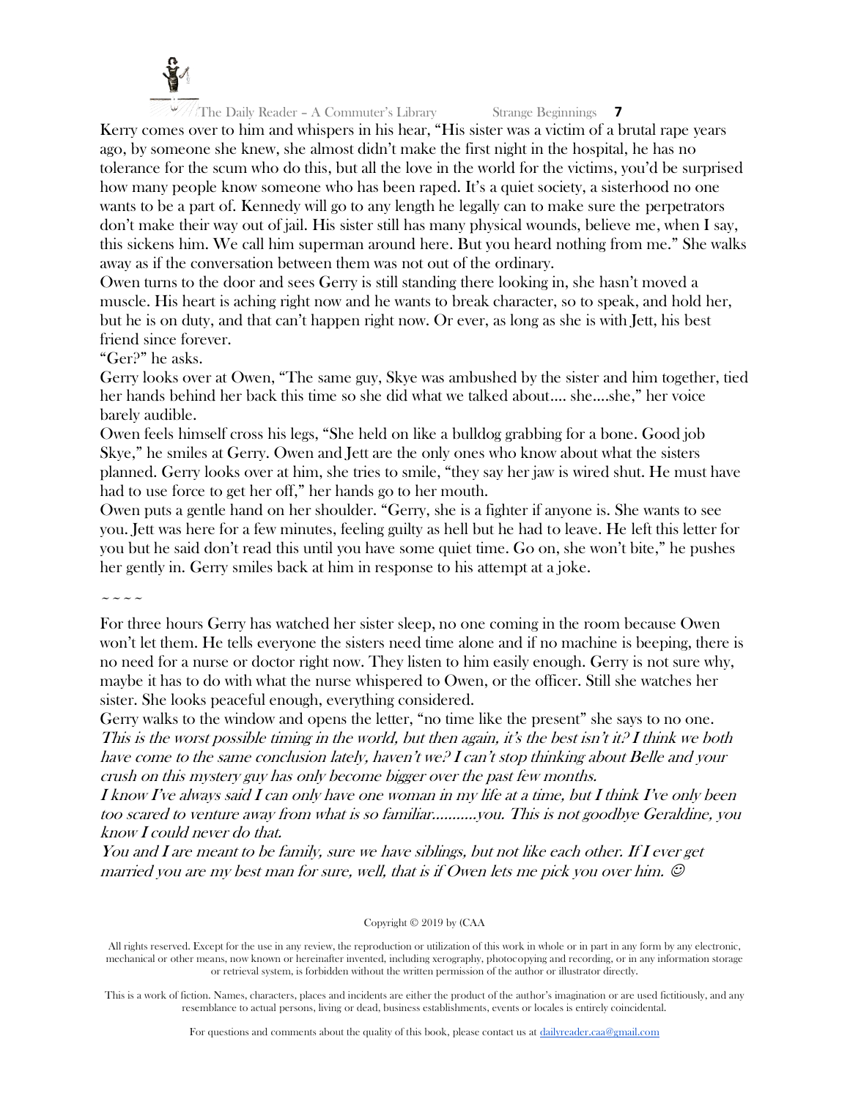

Kerry comes over to him and whispers in his hear, "His sister was a victim of a brutal rape years ago, by someone she knew, she almost didn't make the first night in the hospital, he has no tolerance for the scum who do this, but all the love in the world for the victims, you'd be surprised how many people know someone who has been raped. It's a quiet society, a sisterhood no one wants to be a part of. Kennedy will go to any length he legally can to make sure the perpetrators don't make their way out of jail. His sister still has many physical wounds, believe me, when I say, this sickens him. We call him superman around here. But you heard nothing from me." She walks away as if the conversation between them was not out of the ordinary.

Owen turns to the door and sees Gerry is still standing there looking in, she hasn't moved a muscle. His heart is aching right now and he wants to break character, so to speak, and hold her, but he is on duty, and that can't happen right now. Or ever, as long as she is with Jett, his best friend since forever.

"Ger?" he asks.

Gerry looks over at Owen, "The same guy, Skye was ambushed by the sister and him together, tied her hands behind her back this time so she did what we talked about…. she….she," her voice barely audible.

Owen feels himself cross his legs, "She held on like a bulldog grabbing for a bone. Good job Skye," he smiles at Gerry. Owen and Jett are the only ones who know about what the sisters planned. Gerry looks over at him, she tries to smile, "they say her jaw is wired shut. He must have had to use force to get her off," her hands go to her mouth.

Owen puts a gentle hand on her shoulder. "Gerry, she is a fighter if anyone is. She wants to see you. Jett was here for a few minutes, feeling guilty as hell but he had to leave. He left this letter for you but he said don't read this until you have some quiet time. Go on, she won't bite," he pushes her gently in. Gerry smiles back at him in response to his attempt at a joke.

 $\sim$   $\sim$   $\sim$   $\sim$ 

For three hours Gerry has watched her sister sleep, no one coming in the room because Owen won't let them. He tells everyone the sisters need time alone and if no machine is beeping, there is no need for a nurse or doctor right now. They listen to him easily enough. Gerry is not sure why, maybe it has to do with what the nurse whispered to Owen, or the officer. Still she watches her sister. She looks peaceful enough, everything considered.

Gerry walks to the window and opens the letter, "no time like the present" she says to no one. This is the worst possible timing in the world, but then again, it's the best isn't it? I think we both have come to the same conclusion lately, haven't we? I can't stop thinking about Belle and your crush on this mystery guy has only become bigger over the past few months.

I know I've always said I can only have one woman in my life at a time, but I think I've only been too scared to venture away from what is so familiar………..you. This is not goodbye Geraldine, you know I could never do that.

You and I are meant to be family, sure we have siblings, but not like each other. If I ever get married you are my best man for sure, well, that is if Owen lets me pick you over him.  $\odot$ 

# Copyright © 2019 by (CAA

All rights reserved. Except for the use in any review, the reproduction or utilization of this work in whole or in part in any form by any electronic, mechanical or other means, now known or hereinafter invented, including xerography, photocopying and recording, or in any information storage or retrieval system, is forbidden without the written permission of the author or illustrator directly.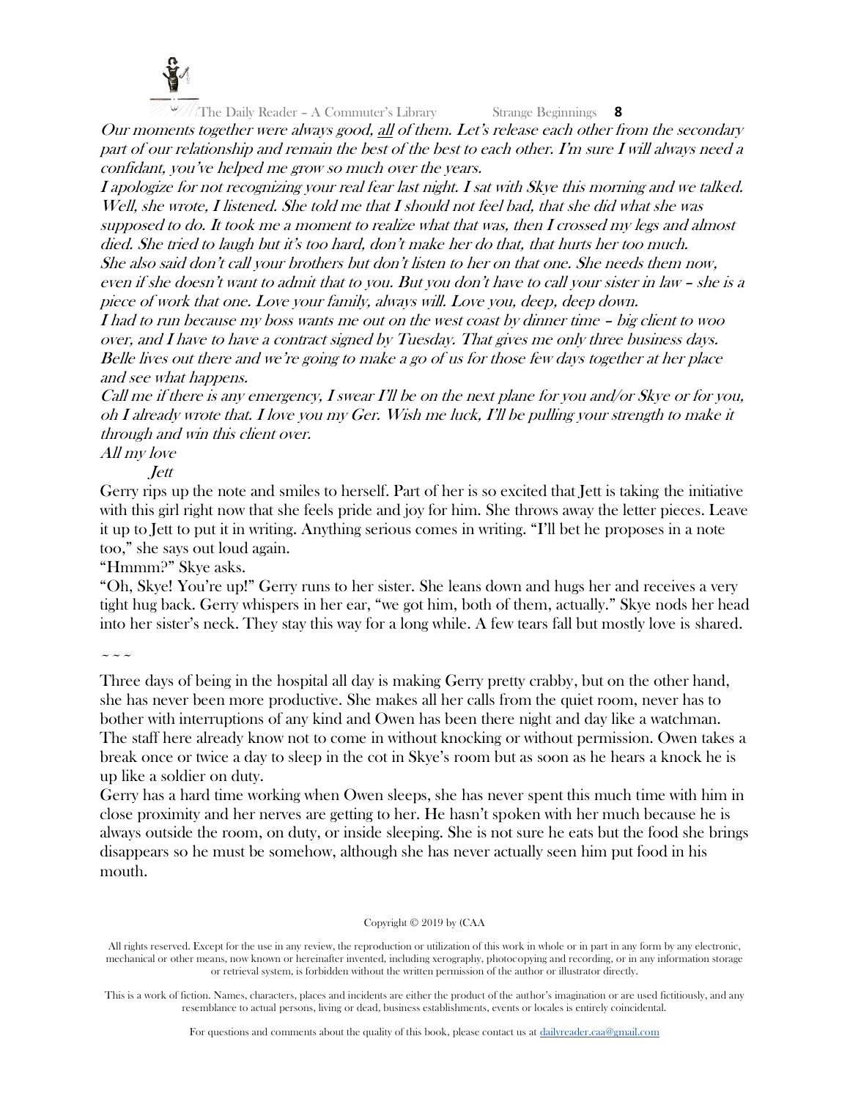

Our moments together were always good, all of them. Let's release each other from the secondary part of our relationship and remain the best of the best to each other. I'm sure I will always need a confidant, you've helped me grow so much over the years.

I apologize for not recognizing your real fear last night. I sat with Skye this morning and we talked. Well, she wrote, I listened. She told me that I should not feel bad, that she did what she was supposed to do. It took me a moment to realize what that was, then I crossed my legs and almost died. She tried to laugh but it's too hard, don't make her do that, that hurts her too much. She also said don't call your brothers but don't listen to her on that one. She needs them now, even if she doesn't want to admit that to you. But you don't have to call your sister in law – she is a piece of work that one. Love your family, always will. Love you, deep, deep down.

I had to run because my boss wants me out on the west coast by dinner time – big client to woo over, and I have to have a contract signed by Tuesday. That gives me only three business days. Belle lives out there and we're going to make a go of us for those few days together at her place and see what happens.

Call me if there is any emergency, I swear I'll be on the next plane for you and/or Skye or for you, oh I already wrote that. I love you my Ger. Wish me luck, I'll be pulling your strength to make it through and win this client over.

# All my love

Jett

Gerry rips up the note and smiles to herself. Part of her is so excited that Jett is taking the initiative with this girl right now that she feels pride and joy for him. She throws away the letter pieces. Leave it up to Jett to put it in writing. Anything serious comes in writing. "I'll bet he proposes in a note too," she says out loud again.

"Hmmm?" Skye asks.

"Oh, Skye! You're up!" Gerry runs to her sister. She leans down and hugs her and receives a very tight hug back. Gerry whispers in her ear, "we got him, both of them, actually." Skye nods her head into her sister's neck. They stay this way for a long while. A few tears fall but mostly love is shared.

 $\sim$   $\sim$   $\sim$ 

Three days of being in the hospital all day is making Gerry pretty crabby, but on the other hand, she has never been more productive. She makes all her calls from the quiet room, never has to bother with interruptions of any kind and Owen has been there night and day like a watchman. The staff here already know not to come in without knocking or without permission. Owen takes a break once or twice a day to sleep in the cot in Skye's room but as soon as he hears a knock he is up like a soldier on duty.

Gerry has a hard time working when Owen sleeps, she has never spent this much time with him in close proximity and her nerves are getting to her. He hasn't spoken with her much because he is always outside the room, on duty, or inside sleeping. She is not sure he eats but the food she brings disappears so he must be somehow, although she has never actually seen him put food in his mouth.

# Copyright © 2019 by (CAA

All rights reserved. Except for the use in any review, the reproduction or utilization of this work in whole or in part in any form by any electronic, mechanical or other means, now known or hereinafter invented, including xerography, photocopying and recording, or in any information storage or retrieval system, is forbidden without the written permission of the author or illustrator directly.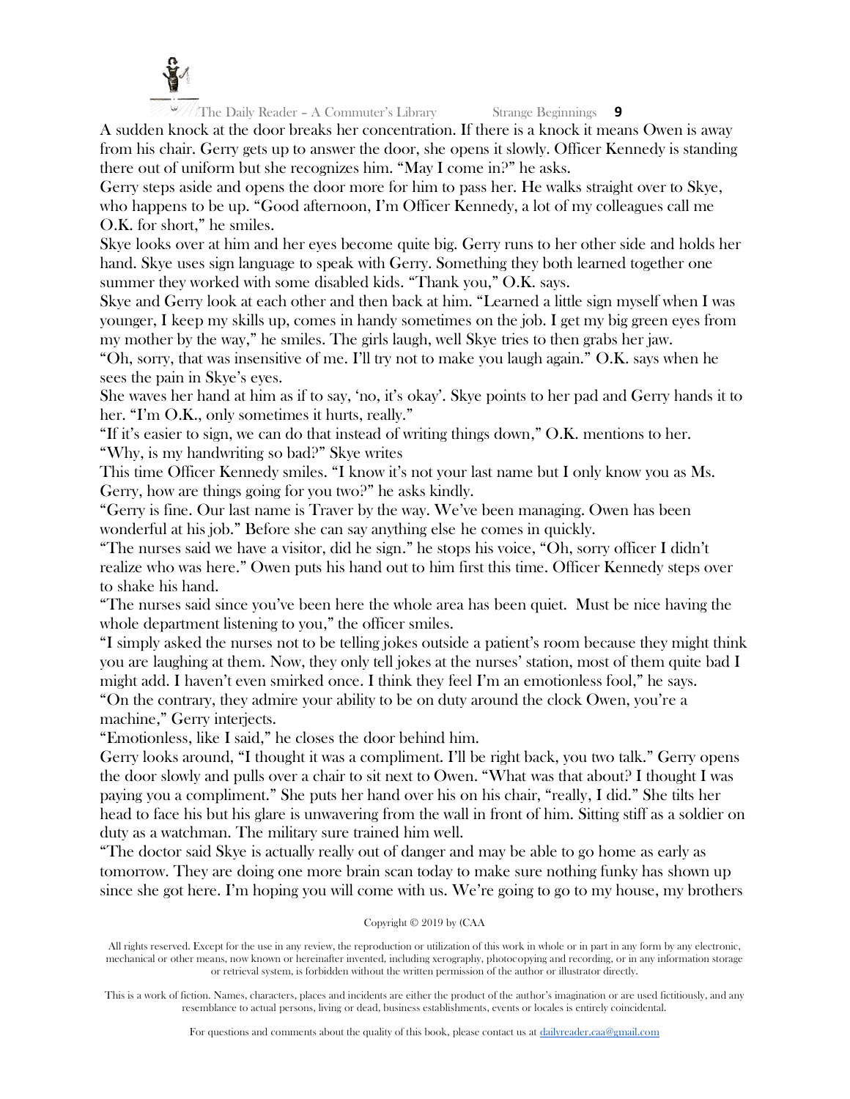

A sudden knock at the door breaks her concentration. If there is a knock it means Owen is away from his chair. Gerry gets up to answer the door, she opens it slowly. Officer Kennedy is standing there out of uniform but she recognizes him. "May I come in?" he asks.

Gerry steps aside and opens the door more for him to pass her. He walks straight over to Skye, who happens to be up. "Good afternoon, I'm Officer Kennedy, a lot of my colleagues call me O.K. for short," he smiles.

Skye looks over at him and her eyes become quite big. Gerry runs to her other side and holds her hand. Skye uses sign language to speak with Gerry. Something they both learned together one summer they worked with some disabled kids. "Thank you," O.K. says.

Skye and Gerry look at each other and then back at him. "Learned a little sign myself when I was younger, I keep my skills up, comes in handy sometimes on the job. I get my big green eyes from my mother by the way," he smiles. The girls laugh, well Skye tries to then grabs her jaw.

"Oh, sorry, that was insensitive of me. I'll try not to make you laugh again." O.K. says when he sees the pain in Skye's eyes.

She waves her hand at him as if to say, 'no, it's okay'. Skye points to her pad and Gerry hands it to her. "I'm O.K., only sometimes it hurts, really."

"If it's easier to sign, we can do that instead of writing things down," O.K. mentions to her. "Why, is my handwriting so bad?" Skye writes

This time Officer Kennedy smiles. "I know it's not your last name but I only know you as Ms. Gerry, how are things going for you two?" he asks kindly.

"Gerry is fine. Our last name is Traver by the way. We've been managing. Owen has been wonderful at his job." Before she can say anything else he comes in quickly.

"The nurses said we have a visitor, did he sign." he stops his voice, "Oh, sorry officer I didn't realize who was here." Owen puts his hand out to him first this time. Officer Kennedy steps over to shake his hand.

"The nurses said since you've been here the whole area has been quiet. Must be nice having the whole department listening to you," the officer smiles.

"I simply asked the nurses not to be telling jokes outside a patient's room because they might think you are laughing at them. Now, they only tell jokes at the nurses' station, most of them quite bad I might add. I haven't even smirked once. I think they feel I'm an emotionless fool," he says.

"On the contrary, they admire your ability to be on duty around the clock Owen, you're a machine," Gerry interjects.

"Emotionless, like I said," he closes the door behind him.

Gerry looks around, "I thought it was a compliment. I'll be right back, you two talk." Gerry opens the door slowly and pulls over a chair to sit next to Owen. "What was that about? I thought I was paying you a compliment." She puts her hand over his on his chair, "really, I did." She tilts her head to face his but his glare is unwavering from the wall in front of him. Sitting stiff as a soldier on duty as a watchman. The military sure trained him well.

"The doctor said Skye is actually really out of danger and may be able to go home as early as tomorrow. They are doing one more brain scan today to make sure nothing funky has shown up since she got here. I'm hoping you will come with us. We're going to go to my house, my brothers

# Copyright © 2019 by (CAA

All rights reserved. Except for the use in any review, the reproduction or utilization of this work in whole or in part in any form by any electronic, mechanical or other means, now known or hereinafter invented, including xerography, photocopying and recording, or in any information storage or retrieval system, is forbidden without the written permission of the author or illustrator directly.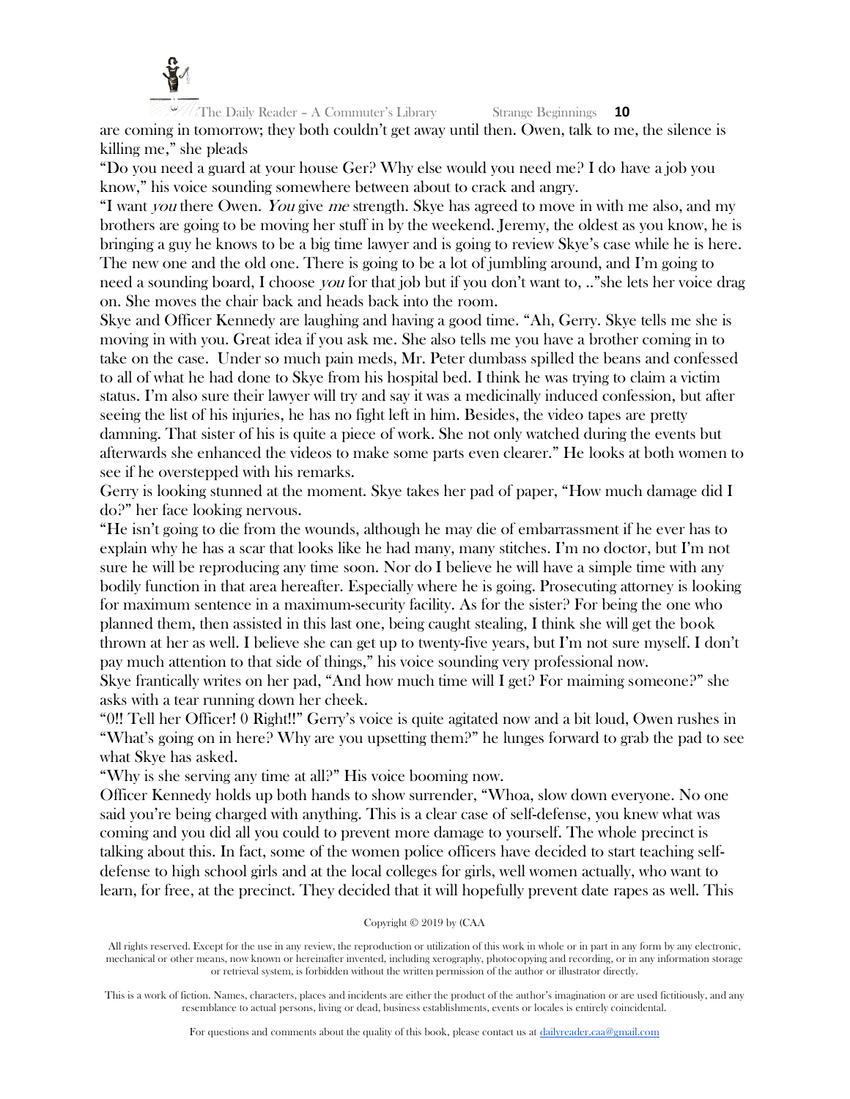

are coming in tomorrow; they both couldn't get away until then. Owen, talk to me, the silence is killing me," she pleads

"Do you need a guard at your house Ger? Why else would you need me? I do have a job you know," his voice sounding somewhere between about to crack and angry.

"I want you there Owen. You give me strength. Skye has agreed to move in with me also, and my brothers are going to be moving her stuff in by the weekend. Jeremy, the oldest as you know, he is bringing a guy he knows to be a big time lawyer and is going to review Skye's case while he is here. The new one and the old one. There is going to be a lot of jumbling around, and I'm going to need a sounding board, I choose you for that job but if you don't want to, .." she lets her voice drag on. She moves the chair back and heads back into the room.

Skye and Officer Kennedy are laughing and having a good time. "Ah, Gerry. Skye tells me she is moving in with you. Great idea if you ask me. She also tells me you have a brother coming in to take on the case. Under so much pain meds, Mr. Peter dumbass spilled the beans and confessed to all of what he had done to Skye from his hospital bed. I think he was trying to claim a victim status. I'm also sure their lawyer will try and say it was a medicinally induced confession, but after seeing the list of his injuries, he has no fight left in him. Besides, the video tapes are pretty damning. That sister of his is quite a piece of work. She not only watched during the events but afterwards she enhanced the videos to make some parts even clearer." He looks at both women to see if he overstepped with his remarks.

Gerry is looking stunned at the moment. Skye takes her pad of paper, "How much damage did I do?" her face looking nervous.

"He isn't going to die from the wounds, although he may die of embarrassment if he ever has to explain why he has a scar that looks like he had many, many stitches. I'm no doctor, but I'm not sure he will be reproducing any time soon. Nor do I believe he will have a simple time with any bodily function in that area hereafter. Especially where he is going. Prosecuting attorney is looking for maximum sentence in a maximum-security facility. As for the sister? For being the one who planned them, then assisted in this last one, being caught stealing, I think she will get the book thrown at her as well. I believe she can get up to twenty-five years, but I'm not sure myself. I don't pay much attention to that side of things," his voice sounding very professional now. Skye frantically writes on her pad, "And how much time will I get? For maiming someone?" she asks with a tear running down her cheek.

"0!! Tell her Officer! 0 Right!!" Gerry's voice is quite agitated now and a bit loud, Owen rushes in "What's going on in here? Why are you upsetting them?" he lunges forward to grab the pad to see what Skye has asked.

"Why is she serving any time at all?" His voice booming now.

Officer Kennedy holds up both hands to show surrender, "Whoa, slow down everyone. No one said you're being charged with anything. This is a clear case of self-defense, you knew what was coming and you did all you could to prevent more damage to yourself. The whole precinct is talking about this. In fact, some of the women police officers have decided to start teaching selfdefense to high school girls and at the local colleges for girls, well women actually, who want to learn, for free, at the precinct. They decided that it will hopefully prevent date rapes as well. This

#### Copyright © 2019 by (CAA

All rights reserved. Except for the use in any review, the reproduction or utilization of this work in whole or in part in any form by any electronic, mechanical or other means, now known or hereinafter invented, including xerography, photocopying and recording, or in any information storage or retrieval system, is forbidden without the written permission of the author or illustrator directly.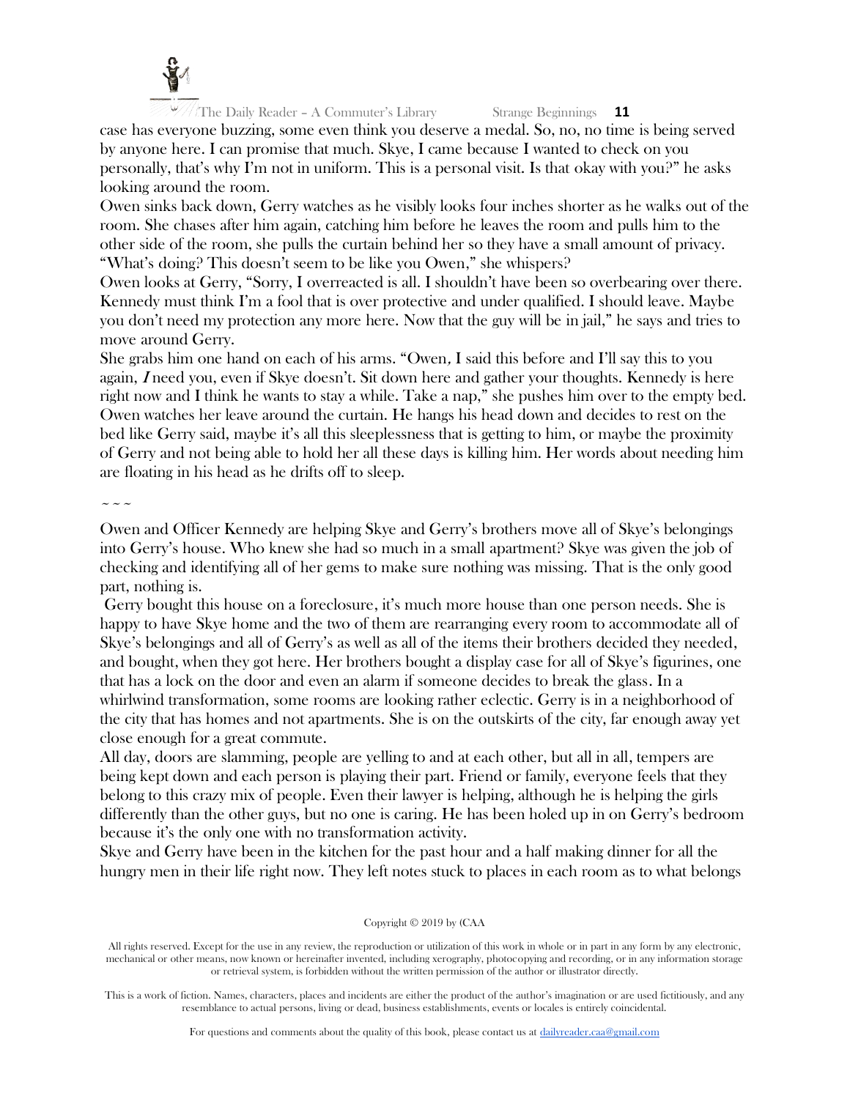

case has everyone buzzing, some even think you deserve a medal. So, no, no time is being served by anyone here. I can promise that much. Skye, I came because I wanted to check on you personally, that's why I'm not in uniform. This is a personal visit. Is that okay with you?" he asks looking around the room.

Owen sinks back down, Gerry watches as he visibly looks four inches shorter as he walks out of the room. She chases after him again, catching him before he leaves the room and pulls him to the other side of the room, she pulls the curtain behind her so they have a small amount of privacy. "What's doing? This doesn't seem to be like you Owen," she whispers?

Owen looks at Gerry, "Sorry, I overreacted is all. I shouldn't have been so overbearing over there. Kennedy must think I'm a fool that is over protective and under qualified. I should leave. Maybe you don't need my protection any more here. Now that the guy will be in jail," he says and tries to move around Gerry.

She grabs him one hand on each of his arms. "Owen, I said this before and I'll say this to you again, <sup>I</sup> need you, even if Skye doesn't. Sit down here and gather your thoughts. Kennedy is here right now and I think he wants to stay a while. Take a nap," she pushes him over to the empty bed. Owen watches her leave around the curtain. He hangs his head down and decides to rest on the bed like Gerry said, maybe it's all this sleeplessness that is getting to him, or maybe the proximity of Gerry and not being able to hold her all these days is killing him. Her words about needing him are floating in his head as he drifts off to sleep.

 $\sim\sim\sim$ 

Owen and Officer Kennedy are helping Skye and Gerry's brothers move all of Skye's belongings into Gerry's house. Who knew she had so much in a small apartment? Skye was given the job of checking and identifying all of her gems to make sure nothing was missing. That is the only good part, nothing is.

Gerry bought this house on a foreclosure, it's much more house than one person needs. She is happy to have Skye home and the two of them are rearranging every room to accommodate all of Skye's belongings and all of Gerry's as well as all of the items their brothers decided they needed, and bought, when they got here. Her brothers bought a display case for all of Skye's figurines, one that has a lock on the door and even an alarm if someone decides to break the glass. In a whirlwind transformation, some rooms are looking rather eclectic. Gerry is in a neighborhood of the city that has homes and not apartments. She is on the outskirts of the city, far enough away yet close enough for a great commute.

All day, doors are slamming, people are yelling to and at each other, but all in all, tempers are being kept down and each person is playing their part. Friend or family, everyone feels that they belong to this crazy mix of people. Even their lawyer is helping, although he is helping the girls differently than the other guys, but no one is caring. He has been holed up in on Gerry's bedroom because it's the only one with no transformation activity.

Skye and Gerry have been in the kitchen for the past hour and a half making dinner for all the hungry men in their life right now. They left notes stuck to places in each room as to what belongs

#### Copyright © 2019 by (CAA

All rights reserved. Except for the use in any review, the reproduction or utilization of this work in whole or in part in any form by any electronic, mechanical or other means, now known or hereinafter invented, including xerography, photocopying and recording, or in any information storage or retrieval system, is forbidden without the written permission of the author or illustrator directly.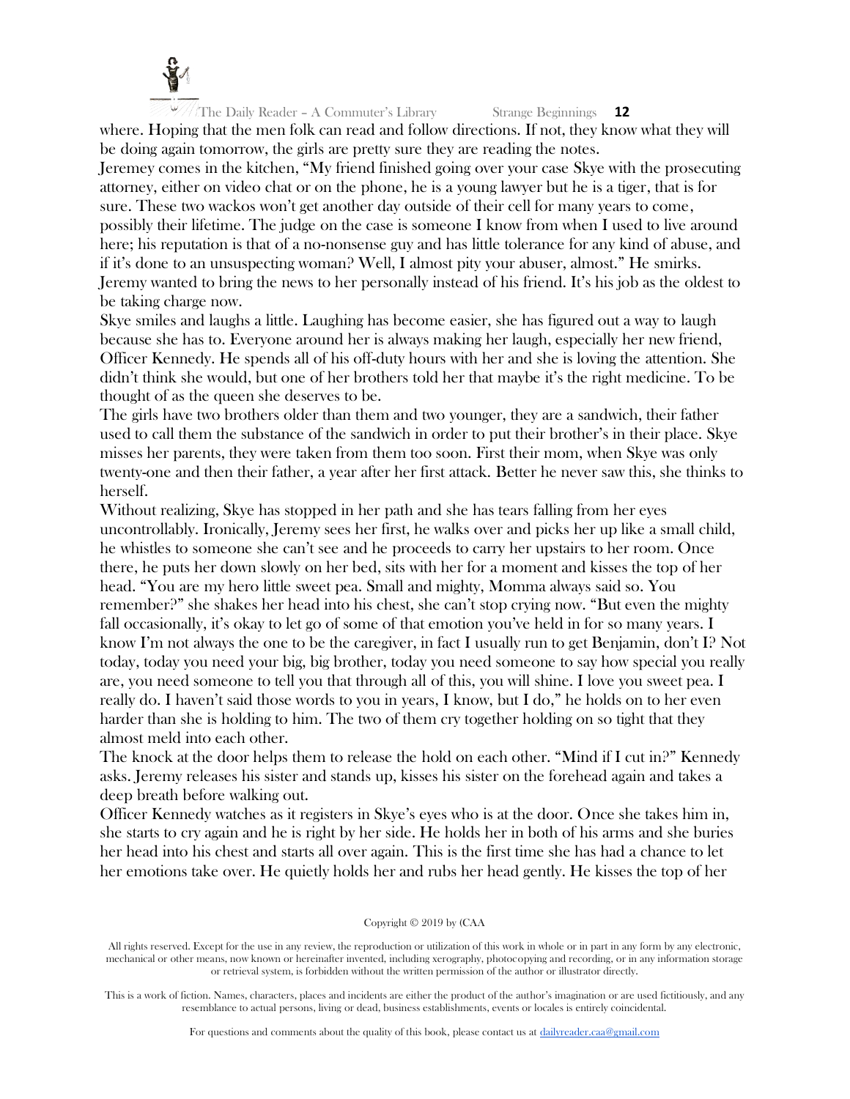

where. Hoping that the men folk can read and follow directions. If not, they know what they will be doing again tomorrow, the girls are pretty sure they are reading the notes.

Jeremey comes in the kitchen, "My friend finished going over your case Skye with the prosecuting attorney, either on video chat or on the phone, he is a young lawyer but he is a tiger, that is for sure. These two wackos won't get another day outside of their cell for many years to come, possibly their lifetime. The judge on the case is someone I know from when I used to live around here; his reputation is that of a no-nonsense guy and has little tolerance for any kind of abuse, and if it's done to an unsuspecting woman? Well, I almost pity your abuser, almost." He smirks. Jeremy wanted to bring the news to her personally instead of his friend. It's his job as the oldest to be taking charge now.

Skye smiles and laughs a little. Laughing has become easier, she has figured out a way to laugh because she has to. Everyone around her is always making her laugh, especially her new friend, Officer Kennedy. He spends all of his off-duty hours with her and she is loving the attention. She didn't think she would, but one of her brothers told her that maybe it's the right medicine. To be thought of as the queen she deserves to be.

The girls have two brothers older than them and two younger, they are a sandwich, their father used to call them the substance of the sandwich in order to put their brother's in their place. Skye misses her parents, they were taken from them too soon. First their mom, when Skye was only twenty-one and then their father, a year after her first attack. Better he never saw this, she thinks to herself.

Without realizing, Skye has stopped in her path and she has tears falling from her eyes uncontrollably. Ironically, Jeremy sees her first, he walks over and picks her up like a small child, he whistles to someone she can't see and he proceeds to carry her upstairs to her room. Once there, he puts her down slowly on her bed, sits with her for a moment and kisses the top of her head. "You are my hero little sweet pea. Small and mighty, Momma always said so. You remember?" she shakes her head into his chest, she can't stop crying now. "But even the mighty fall occasionally, it's okay to let go of some of that emotion you've held in for so many years. I know I'm not always the one to be the caregiver, in fact I usually run to get Benjamin, don't I? Not today, today you need your big, big brother, today you need someone to say how special you really are, you need someone to tell you that through all of this, you will shine. I love you sweet pea. I really do. I haven't said those words to you in years, I know, but I do," he holds on to her even harder than she is holding to him. The two of them cry together holding on so tight that they almost meld into each other.

The knock at the door helps them to release the hold on each other. "Mind if I cut in?" Kennedy asks. Jeremy releases his sister and stands up, kisses his sister on the forehead again and takes a deep breath before walking out.

Officer Kennedy watches as it registers in Skye's eyes who is at the door. Once she takes him in, she starts to cry again and he is right by her side. He holds her in both of his arms and she buries her head into his chest and starts all over again. This is the first time she has had a chance to let her emotions take over. He quietly holds her and rubs her head gently. He kisses the top of her

#### Copyright © 2019 by (CAA

All rights reserved. Except for the use in any review, the reproduction or utilization of this work in whole or in part in any form by any electronic, mechanical or other means, now known or hereinafter invented, including xerography, photocopying and recording, or in any information storage or retrieval system, is forbidden without the written permission of the author or illustrator directly.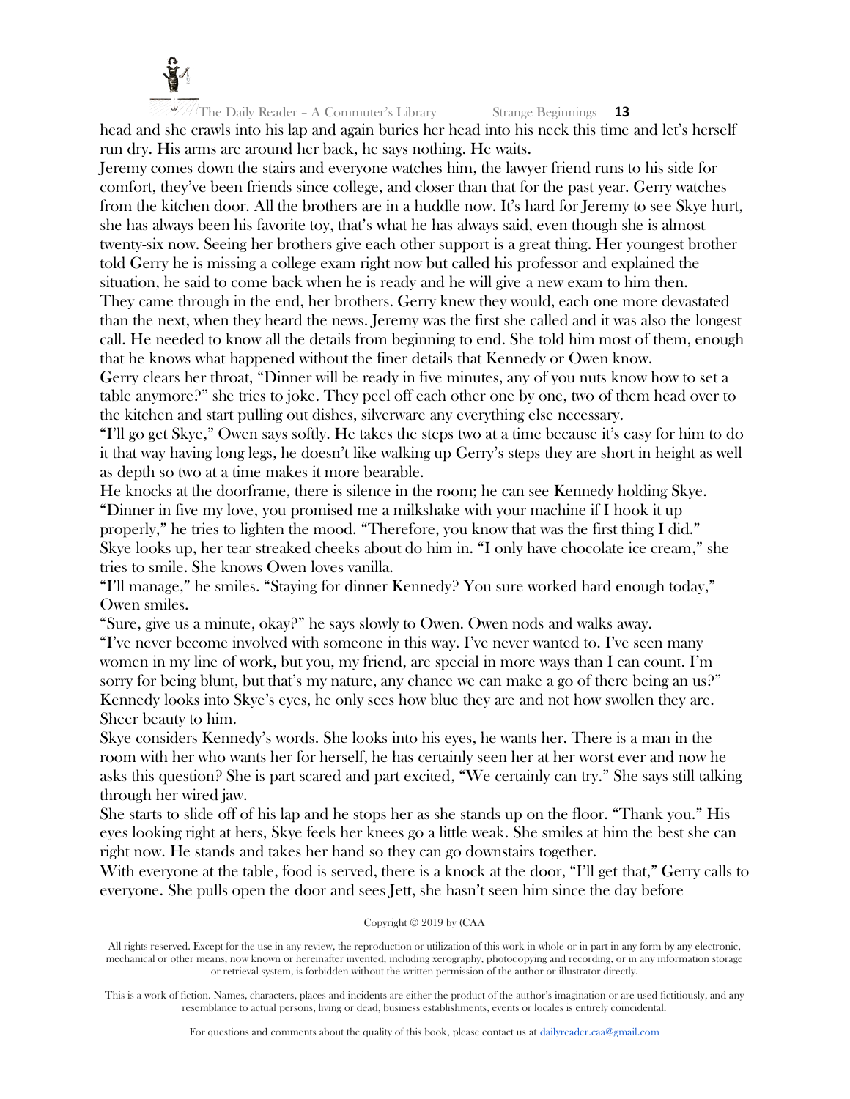

The Daily Reader – A Commuter's Library Strange Beginnings **13** head and she crawls into his lap and again buries her head into his neck this time and let's herself

run dry. His arms are around her back, he says nothing. He waits. Jeremy comes down the stairs and everyone watches him, the lawyer friend runs to his side for comfort, they've been friends since college, and closer than that for the past year. Gerry watches from the kitchen door. All the brothers are in a huddle now. It's hard for Jeremy to see Skye hurt, she has always been his favorite toy, that's what he has always said, even though she is almost twenty-six now. Seeing her brothers give each other support is a great thing. Her youngest brother told Gerry he is missing a college exam right now but called his professor and explained the situation, he said to come back when he is ready and he will give a new exam to him then. They came through in the end, her brothers. Gerry knew they would, each one more devastated than the next, when they heard the news. Jeremy was the first she called and it was also the longest call. He needed to know all the details from beginning to end. She told him most of them, enough that he knows what happened without the finer details that Kennedy or Owen know.

Gerry clears her throat, "Dinner will be ready in five minutes, any of you nuts know how to set a table anymore?" she tries to joke. They peel off each other one by one, two of them head over to the kitchen and start pulling out dishes, silverware any everything else necessary.

"I'll go get Skye," Owen says softly. He takes the steps two at a time because it's easy for him to do it that way having long legs, he doesn't like walking up Gerry's steps they are short in height as well as depth so two at a time makes it more bearable.

He knocks at the doorframe, there is silence in the room; he can see Kennedy holding Skye. "Dinner in five my love, you promised me a milkshake with your machine if I hook it up properly," he tries to lighten the mood. "Therefore, you know that was the first thing I did." Skye looks up, her tear streaked cheeks about do him in. "I only have chocolate ice cream," she tries to smile. She knows Owen loves vanilla.

"I'll manage," he smiles. "Staying for dinner Kennedy? You sure worked hard enough today," Owen smiles.

"Sure, give us a minute, okay?" he says slowly to Owen. Owen nods and walks away.

"I've never become involved with someone in this way. I've never wanted to. I've seen many women in my line of work, but you, my friend, are special in more ways than I can count. I'm sorry for being blunt, but that's my nature, any chance we can make a go of there being an us?" Kennedy looks into Skye's eyes, he only sees how blue they are and not how swollen they are. Sheer beauty to him.

Skye considers Kennedy's words. She looks into his eyes, he wants her. There is a man in the room with her who wants her for herself, he has certainly seen her at her worst ever and now he asks this question? She is part scared and part excited, "We certainly can try." She says still talking through her wired jaw.

She starts to slide off of his lap and he stops her as she stands up on the floor. "Thank you." His eyes looking right at hers, Skye feels her knees go a little weak. She smiles at him the best she can right now. He stands and takes her hand so they can go downstairs together.

With everyone at the table, food is served, there is a knock at the door, "I'll get that," Gerry calls to everyone. She pulls open the door and sees Jett, she hasn't seen him since the day before

#### Copyright © 2019 by (CAA

All rights reserved. Except for the use in any review, the reproduction or utilization of this work in whole or in part in any form by any electronic, mechanical or other means, now known or hereinafter invented, including xerography, photocopying and recording, or in any information storage or retrieval system, is forbidden without the written permission of the author or illustrator directly.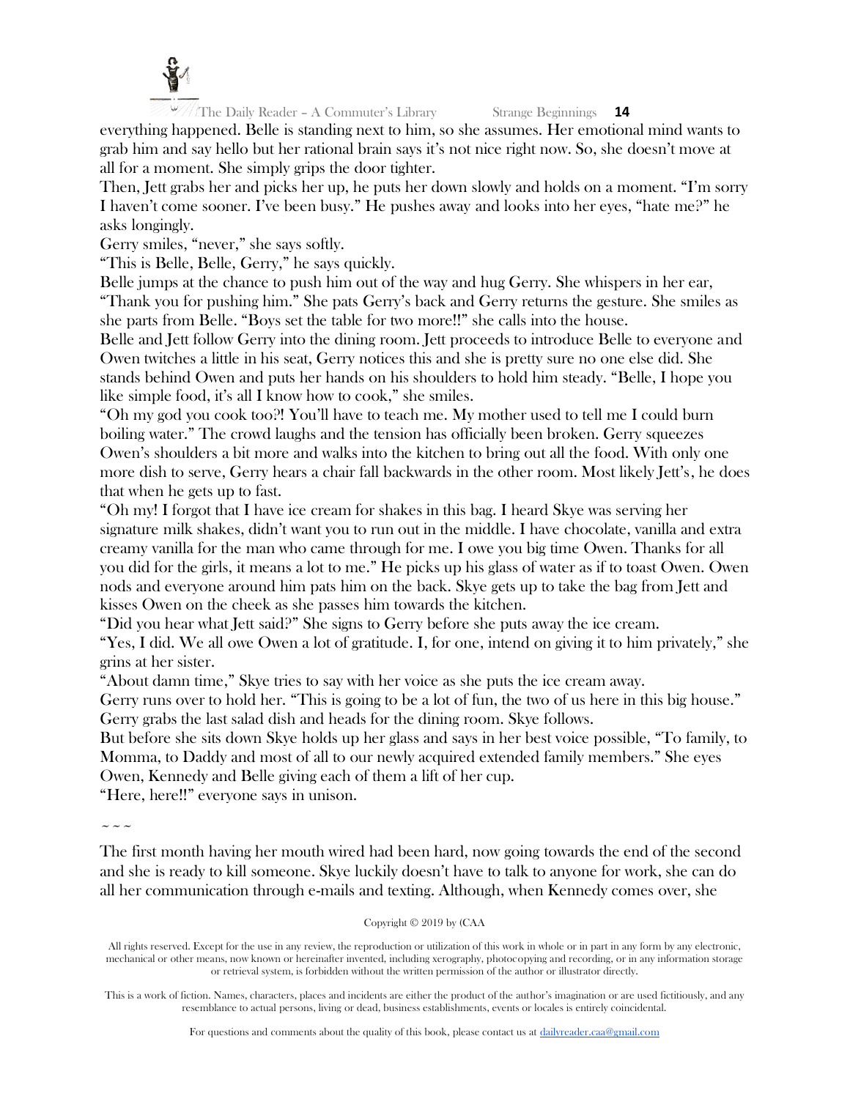

everything happened. Belle is standing next to him, so she assumes. Her emotional mind wants to grab him and say hello but her rational brain says it's not nice right now. So, she doesn't move at all for a moment. She simply grips the door tighter.

Then, Jett grabs her and picks her up, he puts her down slowly and holds on a moment. "I'm sorry I haven't come sooner. I've been busy." He pushes away and looks into her eyes, "hate me?" he asks longingly.

Gerry smiles, "never," she says softly.

"This is Belle, Belle, Gerry," he says quickly.

Belle jumps at the chance to push him out of the way and hug Gerry. She whispers in her ear, "Thank you for pushing him." She pats Gerry's back and Gerry returns the gesture. She smiles as she parts from Belle. "Boys set the table for two more!!" she calls into the house.

Belle and Jett follow Gerry into the dining room. Jett proceeds to introduce Belle to everyone and Owen twitches a little in his seat, Gerry notices this and she is pretty sure no one else did. She stands behind Owen and puts her hands on his shoulders to hold him steady. "Belle, I hope you like simple food, it's all I know how to cook," she smiles.

"Oh my god you cook too?! You'll have to teach me. My mother used to tell me I could burn boiling water." The crowd laughs and the tension has officially been broken. Gerry squeezes Owen's shoulders a bit more and walks into the kitchen to bring out all the food. With only one more dish to serve, Gerry hears a chair fall backwards in the other room. Most likely Jett's, he does that when he gets up to fast.

"Oh my! I forgot that I have ice cream for shakes in this bag. I heard Skye was serving her signature milk shakes, didn't want you to run out in the middle. I have chocolate, vanilla and extra creamy vanilla for the man who came through for me. I owe you big time Owen. Thanks for all you did for the girls, it means a lot to me." He picks up his glass of water as if to toast Owen. Owen nods and everyone around him pats him on the back. Skye gets up to take the bag from Jett and kisses Owen on the cheek as she passes him towards the kitchen.

"Did you hear what Jett said?" She signs to Gerry before she puts away the ice cream.

"Yes, I did. We all owe Owen a lot of gratitude. I, for one, intend on giving it to him privately," she grins at her sister.

"About damn time," Skye tries to say with her voice as she puts the ice cream away.

Gerry runs over to hold her. "This is going to be a lot of fun, the two of us here in this big house." Gerry grabs the last salad dish and heads for the dining room. Skye follows.

But before she sits down Skye holds up her glass and says in her best voice possible, "To family, to Momma, to Daddy and most of all to our newly acquired extended family members." She eyes Owen, Kennedy and Belle giving each of them a lift of her cup.

"Here, here!!" everyone says in unison.

~~~

The first month having her mouth wired had been hard, now going towards the end of the second and she is ready to kill someone. Skye luckily doesn't have to talk to anyone for work, she can do all her communication through e-mails and texting. Although, when Kennedy comes over, she

Copyright © 2019 by (CAA

All rights reserved. Except for the use in any review, the reproduction or utilization of this work in whole or in part in any form by any electronic, mechanical or other means, now known or hereinafter invented, including xerography, photocopying and recording, or in any information storage or retrieval system, is forbidden without the written permission of the author or illustrator directly.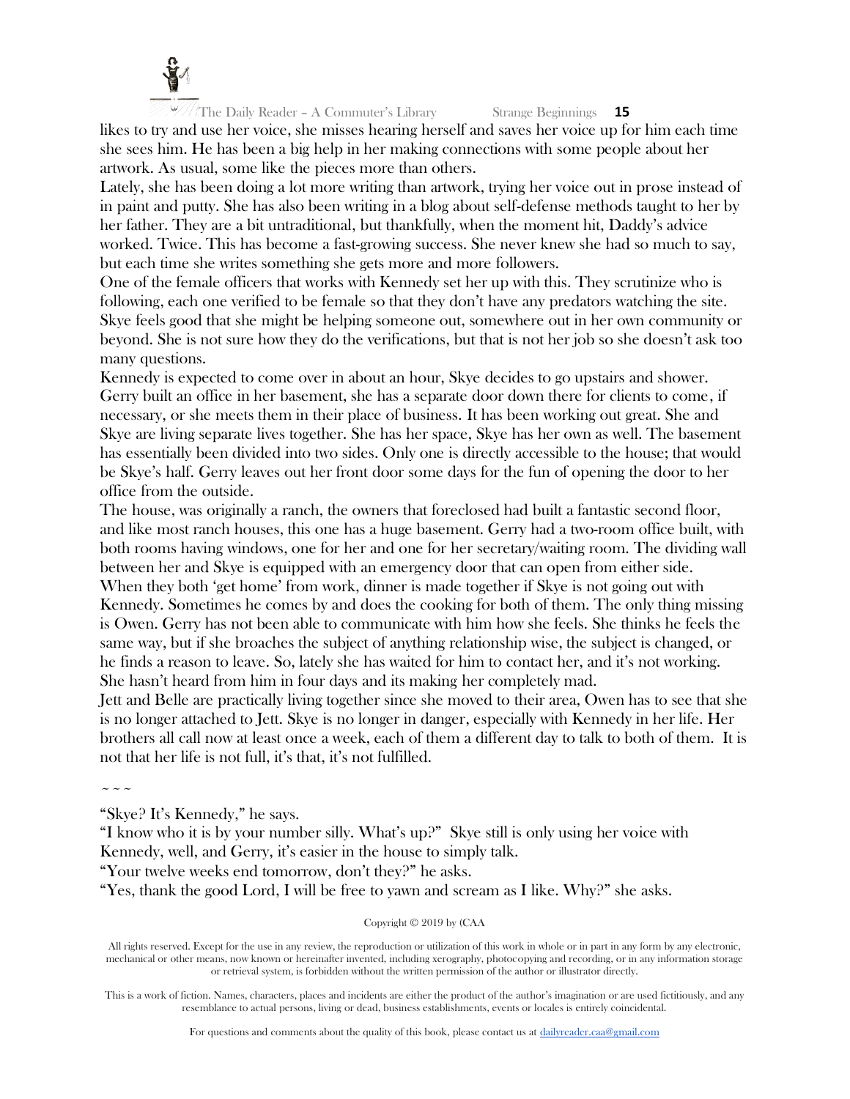

likes to try and use her voice, she misses hearing herself and saves her voice up for him each time she sees him. He has been a big help in her making connections with some people about her artwork. As usual, some like the pieces more than others.

Lately, she has been doing a lot more writing than artwork, trying her voice out in prose instead of in paint and putty. She has also been writing in a blog about self-defense methods taught to her by her father. They are a bit untraditional, but thankfully, when the moment hit, Daddy's advice worked. Twice. This has become a fast-growing success. She never knew she had so much to say, but each time she writes something she gets more and more followers.

One of the female officers that works with Kennedy set her up with this. They scrutinize who is following, each one verified to be female so that they don't have any predators watching the site. Skye feels good that she might be helping someone out, somewhere out in her own community or beyond. She is not sure how they do the verifications, but that is not her job so she doesn't ask too many questions.

Kennedy is expected to come over in about an hour, Skye decides to go upstairs and shower. Gerry built an office in her basement, she has a separate door down there for clients to come, if necessary, or she meets them in their place of business. It has been working out great. She and Skye are living separate lives together. She has her space, Skye has her own as well. The basement has essentially been divided into two sides. Only one is directly accessible to the house; that would be Skye's half. Gerry leaves out her front door some days for the fun of opening the door to her office from the outside.

The house, was originally a ranch, the owners that foreclosed had built a fantastic second floor, and like most ranch houses, this one has a huge basement. Gerry had a two-room office built, with both rooms having windows, one for her and one for her secretary/waiting room. The dividing wall between her and Skye is equipped with an emergency door that can open from either side. When they both 'get home' from work, dinner is made together if Skye is not going out with Kennedy. Sometimes he comes by and does the cooking for both of them. The only thing missing is Owen. Gerry has not been able to communicate with him how she feels. She thinks he feels the same way, but if she broaches the subject of anything relationship wise, the subject is changed, or he finds a reason to leave. So, lately she has waited for him to contact her, and it's not working. She hasn't heard from him in four days and its making her completely mad.

Jett and Belle are practically living together since she moved to their area, Owen has to see that she is no longer attached to Jett. Skye is no longer in danger, especially with Kennedy in her life. Her brothers all call now at least once a week, each of them a different day to talk to both of them. It is not that her life is not full, it's that, it's not fulfilled.

 $\sim$   $\sim$   $\sim$ 

"Skye? It's Kennedy," he says.

"I know who it is by your number silly. What's up?" Skye still is only using her voice with Kennedy, well, and Gerry, it's easier in the house to simply talk.

"Your twelve weeks end tomorrow, don't they?" he asks.

"Yes, thank the good Lord, I will be free to yawn and scream as I like. Why?" she asks.

Copyright © 2019 by (CAA

All rights reserved. Except for the use in any review, the reproduction or utilization of this work in whole or in part in any form by any electronic, mechanical or other means, now known or hereinafter invented, including xerography, photocopying and recording, or in any information storage or retrieval system, is forbidden without the written permission of the author or illustrator directly.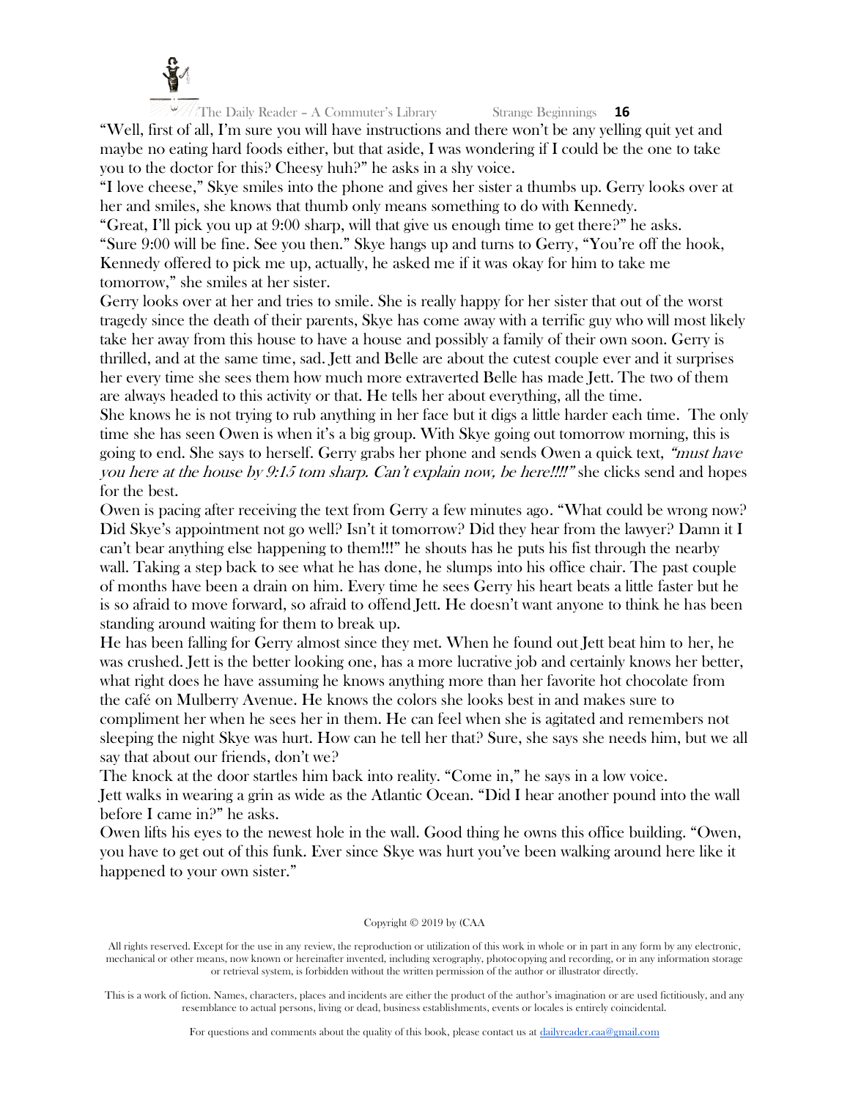

"Well, first of all, I'm sure you will have instructions and there won't be any yelling quit yet and maybe no eating hard foods either, but that aside, I was wondering if I could be the one to take you to the doctor for this? Cheesy huh?" he asks in a shy voice.

"I love cheese," Skye smiles into the phone and gives her sister a thumbs up. Gerry looks over at her and smiles, she knows that thumb only means something to do with Kennedy.

"Great, I'll pick you up at 9:00 sharp, will that give us enough time to get there?" he asks. "Sure 9:00 will be fine. See you then." Skye hangs up and turns to Gerry, "You're off the hook, Kennedy offered to pick me up, actually, he asked me if it was okay for him to take me tomorrow," she smiles at her sister.

Gerry looks over at her and tries to smile. She is really happy for her sister that out of the worst tragedy since the death of their parents, Skye has come away with a terrific guy who will most likely take her away from this house to have a house and possibly a family of their own soon. Gerry is thrilled, and at the same time, sad. Jett and Belle are about the cutest couple ever and it surprises her every time she sees them how much more extraverted Belle has made Jett. The two of them are always headed to this activity or that. He tells her about everything, all the time.

She knows he is not trying to rub anything in her face but it digs a little harder each time. The only time she has seen Owen is when it's a big group. With Skye going out tomorrow morning, this is going to end. She says to herself. Gerry grabs her phone and sends Owen a quick text, "must have you here at the house by 9:15 tom sharp. Can't explain now, be here!!!!" she clicks send and hopes for the best.

Owen is pacing after receiving the text from Gerry a few minutes ago. "What could be wrong now? Did Skye's appointment not go well? Isn't it tomorrow? Did they hear from the lawyer? Damn it I can't bear anything else happening to them!!!" he shouts has he puts his fist through the nearby wall. Taking a step back to see what he has done, he slumps into his office chair. The past couple of months have been a drain on him. Every time he sees Gerry his heart beats a little faster but he is so afraid to move forward, so afraid to offend Jett. He doesn't want anyone to think he has been standing around waiting for them to break up.

He has been falling for Gerry almost since they met. When he found out Jett beat him to her, he was crushed. Jett is the better looking one, has a more lucrative job and certainly knows her better, what right does he have assuming he knows anything more than her favorite hot chocolate from the café on Mulberry Avenue. He knows the colors she looks best in and makes sure to compliment her when he sees her in them. He can feel when she is agitated and remembers not sleeping the night Skye was hurt. How can he tell her that? Sure, she says she needs him, but we all say that about our friends, don't we?

The knock at the door startles him back into reality. "Come in," he says in a low voice. Jett walks in wearing a grin as wide as the Atlantic Ocean. "Did I hear another pound into the wall before I came in?" he asks.

Owen lifts his eyes to the newest hole in the wall. Good thing he owns this office building. "Owen, you have to get out of this funk. Ever since Skye was hurt you've been walking around here like it happened to your own sister."

#### Copyright © 2019 by (CAA

All rights reserved. Except for the use in any review, the reproduction or utilization of this work in whole or in part in any form by any electronic, mechanical or other means, now known or hereinafter invented, including xerography, photocopying and recording, or in any information storage or retrieval system, is forbidden without the written permission of the author or illustrator directly.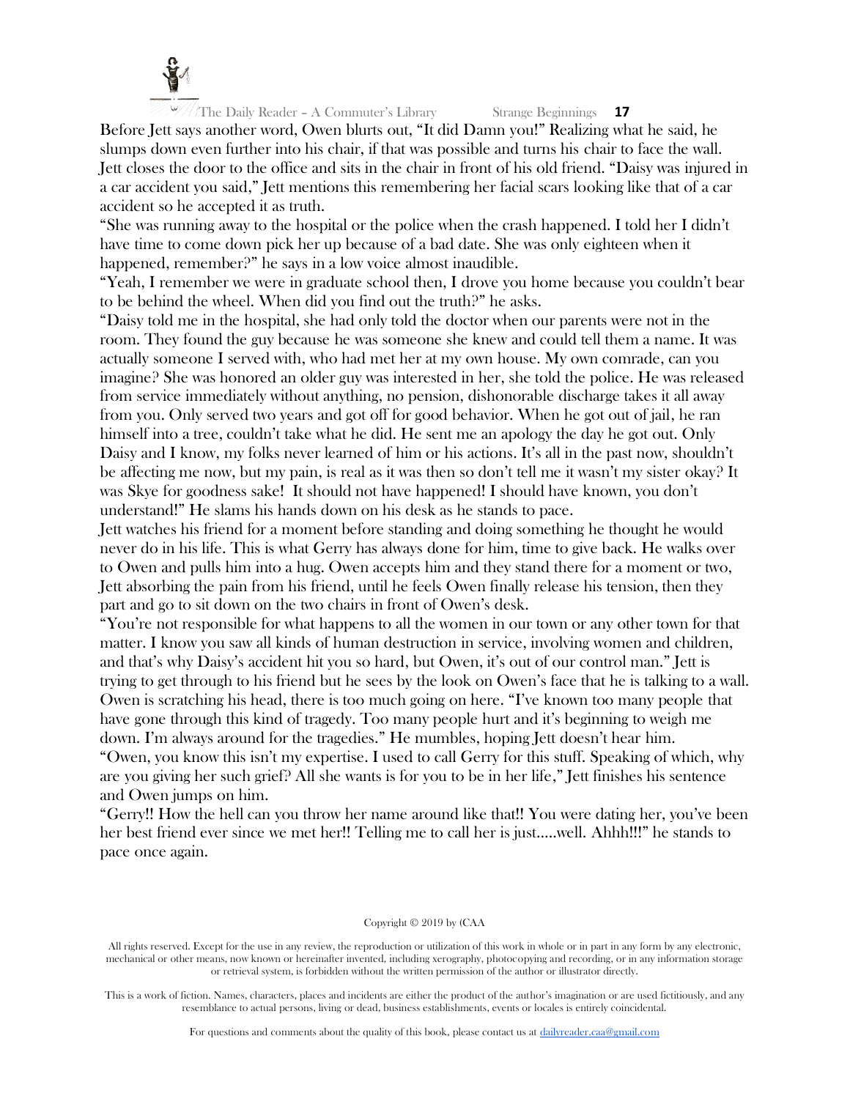

Before Jett says another word, Owen blurts out, "It did Damn you!" Realizing what he said, he slumps down even further into his chair, if that was possible and turns his chair to face the wall. Jett closes the door to the office and sits in the chair in front of his old friend. "Daisy was injured in a car accident you said," Jett mentions this remembering her facial scars looking like that of a car accident so he accepted it as truth.

"She was running away to the hospital or the police when the crash happened. I told her I didn't have time to come down pick her up because of a bad date. She was only eighteen when it happened, remember?" he says in a low voice almost inaudible.

"Yeah, I remember we were in graduate school then, I drove you home because you couldn't bear to be behind the wheel. When did you find out the truth?" he asks.

"Daisy told me in the hospital, she had only told the doctor when our parents were not in the room. They found the guy because he was someone she knew and could tell them a name. It was actually someone I served with, who had met her at my own house. My own comrade, can you imagine? She was honored an older guy was interested in her, she told the police. He was released from service immediately without anything, no pension, dishonorable discharge takes it all away from you. Only served two years and got off for good behavior. When he got out of jail, he ran himself into a tree, couldn't take what he did. He sent me an apology the day he got out. Only Daisy and I know, my folks never learned of him or his actions. It's all in the past now, shouldn't be affecting me now, but my pain, is real as it was then so don't tell me it wasn't my sister okay? It was Skye for goodness sake! It should not have happened! I should have known, you don't understand!" He slams his hands down on his desk as he stands to pace.

Jett watches his friend for a moment before standing and doing something he thought he would never do in his life. This is what Gerry has always done for him, time to give back. He walks over to Owen and pulls him into a hug. Owen accepts him and they stand there for a moment or two, Jett absorbing the pain from his friend, until he feels Owen finally release his tension, then they part and go to sit down on the two chairs in front of Owen's desk.

"You're not responsible for what happens to all the women in our town or any other town for that matter. I know you saw all kinds of human destruction in service, involving women and children, and that's why Daisy's accident hit you so hard, but Owen, it's out of our control man." Jett is trying to get through to his friend but he sees by the look on Owen's face that he is talking to a wall. Owen is scratching his head, there is too much going on here. "I've known too many people that have gone through this kind of tragedy. Too many people hurt and it's beginning to weigh me down. I'm always around for the tragedies." He mumbles, hoping Jett doesn't hear him.

"Owen, you know this isn't my expertise. I used to call Gerry for this stuff. Speaking of which, why are you giving her such grief? All she wants is for you to be in her life," Jett finishes his sentence and Owen jumps on him.

"Gerry!! How the hell can you throw her name around like that!! You were dating her, you've been her best friend ever since we met her!! Telling me to call her is just…..well. Ahhh!!!" he stands to pace once again.

#### Copyright © 2019 by (CAA

All rights reserved. Except for the use in any review, the reproduction or utilization of this work in whole or in part in any form by any electronic, mechanical or other means, now known or hereinafter invented, including xerography, photocopying and recording, or in any information storage or retrieval system, is forbidden without the written permission of the author or illustrator directly.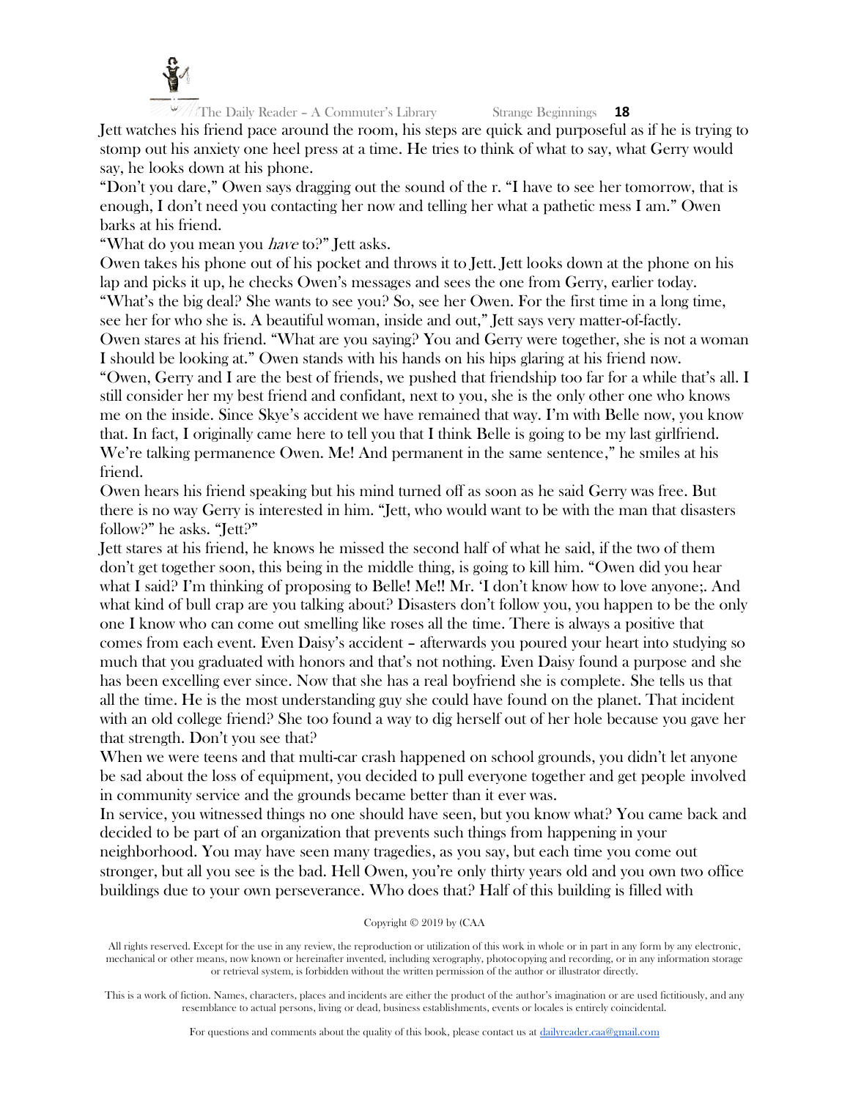

Jett watches his friend pace around the room, his steps are quick and purposeful as if he is trying to stomp out his anxiety one heel press at a time. He tries to think of what to say, what Gerry would say, he looks down at his phone.

"Don't you dare," Owen says dragging out the sound of the r. "I have to see her tomorrow, that is enough, I don't need you contacting her now and telling her what a pathetic mess I am." Owen barks at his friend.

"What do you mean you *have* to?" Jett asks.

Owen takes his phone out of his pocket and throws it to Jett. Jett looks down at the phone on his lap and picks it up, he checks Owen's messages and sees the one from Gerry, earlier today. "What's the big deal? She wants to see you? So, see her Owen. For the first time in a long time, see her for who she is. A beautiful woman, inside and out," Jett says very matter-of-factly. Owen stares at his friend. "What are you saying? You and Gerry were together, she is not a woman I should be looking at." Owen stands with his hands on his hips glaring at his friend now. "Owen, Gerry and I are the best of friends, we pushed that friendship too far for a while that's all. I still consider her my best friend and confidant, next to you, she is the only other one who knows me on the inside. Since Skye's accident we have remained that way. I'm with Belle now, you know that. In fact, I originally came here to tell you that I think Belle is going to be my last girlfriend. We're talking permanence Owen. Me! And permanent in the same sentence," he smiles at his friend.

Owen hears his friend speaking but his mind turned off as soon as he said Gerry was free. But there is no way Gerry is interested in him. "Jett, who would want to be with the man that disasters follow?" he asks. "Jett?"

Jett stares at his friend, he knows he missed the second half of what he said, if the two of them don't get together soon, this being in the middle thing, is going to kill him. "Owen did you hear what I said? I'm thinking of proposing to Belle! Me!! Mr. 'I don't know how to love anyone;. And what kind of bull crap are you talking about? Disasters don't follow you, you happen to be the only one I know who can come out smelling like roses all the time. There is always a positive that comes from each event. Even Daisy's accident – afterwards you poured your heart into studying so much that you graduated with honors and that's not nothing. Even Daisy found a purpose and she has been excelling ever since. Now that she has a real boyfriend she is complete. She tells us that all the time. He is the most understanding guy she could have found on the planet. That incident with an old college friend? She too found a way to dig herself out of her hole because you gave her that strength. Don't you see that?

When we were teens and that multi-car crash happened on school grounds, you didn't let anyone be sad about the loss of equipment, you decided to pull everyone together and get people involved in community service and the grounds became better than it ever was.

In service, you witnessed things no one should have seen, but you know what? You came back and decided to be part of an organization that prevents such things from happening in your neighborhood. You may have seen many tragedies, as you say, but each time you come out stronger, but all you see is the bad. Hell Owen, you're only thirty years old and you own two office buildings due to your own perseverance. Who does that? Half of this building is filled with

# Copyright © 2019 by (CAA

All rights reserved. Except for the use in any review, the reproduction or utilization of this work in whole or in part in any form by any electronic, mechanical or other means, now known or hereinafter invented, including xerography, photocopying and recording, or in any information storage or retrieval system, is forbidden without the written permission of the author or illustrator directly.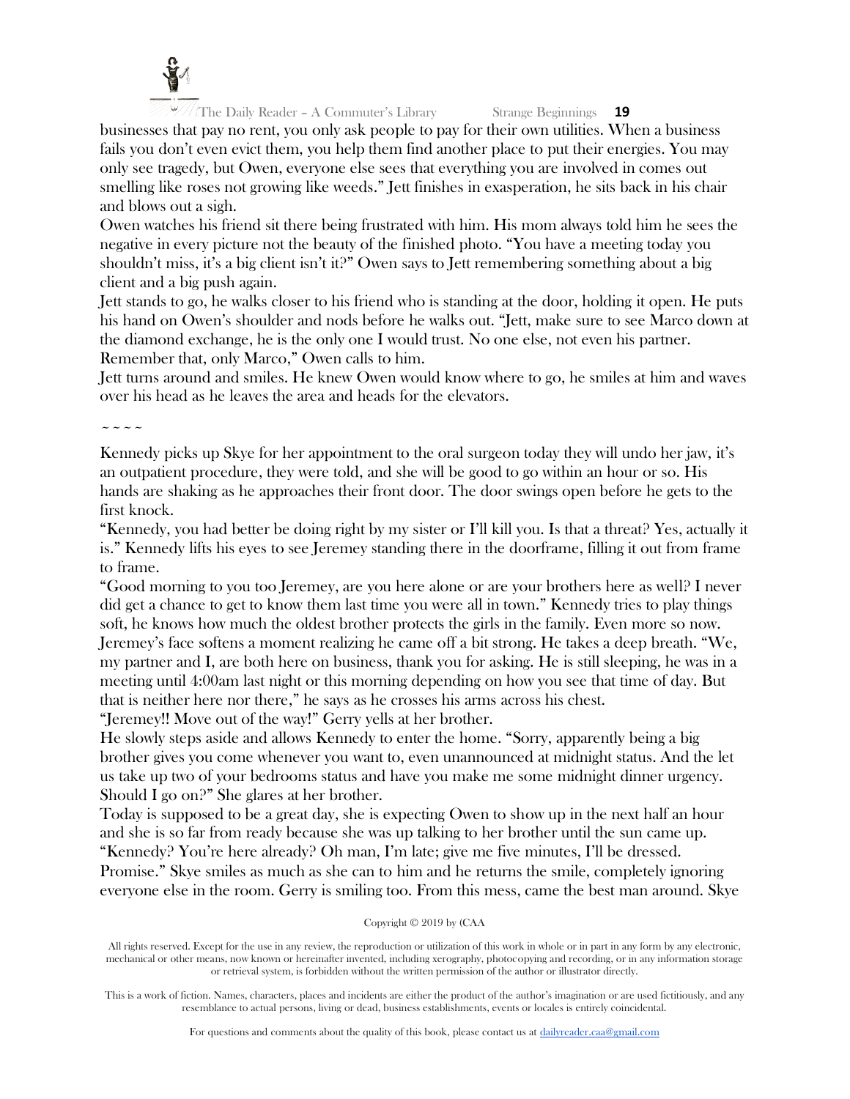

businesses that pay no rent, you only ask people to pay for their own utilities. When a business fails you don't even evict them, you help them find another place to put their energies. You may only see tragedy, but Owen, everyone else sees that everything you are involved in comes out smelling like roses not growing like weeds." Jett finishes in exasperation, he sits back in his chair and blows out a sigh.

Owen watches his friend sit there being frustrated with him. His mom always told him he sees the negative in every picture not the beauty of the finished photo. "You have a meeting today you shouldn't miss, it's a big client isn't it?" Owen says to Jett remembering something about a big client and a big push again.

Jett stands to go, he walks closer to his friend who is standing at the door, holding it open. He puts his hand on Owen's shoulder and nods before he walks out. "Jett, make sure to see Marco down at the diamond exchange, he is the only one I would trust. No one else, not even his partner. Remember that, only Marco," Owen calls to him.

Jett turns around and smiles. He knew Owen would know where to go, he smiles at him and waves over his head as he leaves the area and heads for the elevators.

 $\sim$   $\sim$   $\sim$   $\sim$ 

Kennedy picks up Skye for her appointment to the oral surgeon today they will undo her jaw, it's an outpatient procedure, they were told, and she will be good to go within an hour or so. His hands are shaking as he approaches their front door. The door swings open before he gets to the first knock.

"Kennedy, you had better be doing right by my sister or I'll kill you. Is that a threat? Yes, actually it is." Kennedy lifts his eyes to see Jeremey standing there in the doorframe, filling it out from frame to frame.

"Good morning to you too Jeremey, are you here alone or are your brothers here as well? I never did get a chance to get to know them last time you were all in town." Kennedy tries to play things soft, he knows how much the oldest brother protects the girls in the family. Even more so now. Jeremey's face softens a moment realizing he came off a bit strong. He takes a deep breath. "We, my partner and I, are both here on business, thank you for asking. He is still sleeping, he was in a meeting until 4:00am last night or this morning depending on how you see that time of day. But that is neither here nor there," he says as he crosses his arms across his chest.

"Jeremey!! Move out of the way!" Gerry yells at her brother.

He slowly steps aside and allows Kennedy to enter the home. "Sorry, apparently being a big brother gives you come whenever you want to, even unannounced at midnight status. And the let us take up two of your bedrooms status and have you make me some midnight dinner urgency. Should I go on?" She glares at her brother.

Today is supposed to be a great day, she is expecting Owen to show up in the next half an hour and she is so far from ready because she was up talking to her brother until the sun came up. "Kennedy? You're here already? Oh man, I'm late; give me five minutes, I'll be dressed. Promise." Skye smiles as much as she can to him and he returns the smile, completely ignoring

everyone else in the room. Gerry is smiling too. From this mess, came the best man around. Skye

# Copyright © 2019 by (CAA

All rights reserved. Except for the use in any review, the reproduction or utilization of this work in whole or in part in any form by any electronic, mechanical or other means, now known or hereinafter invented, including xerography, photocopying and recording, or in any information storage or retrieval system, is forbidden without the written permission of the author or illustrator directly.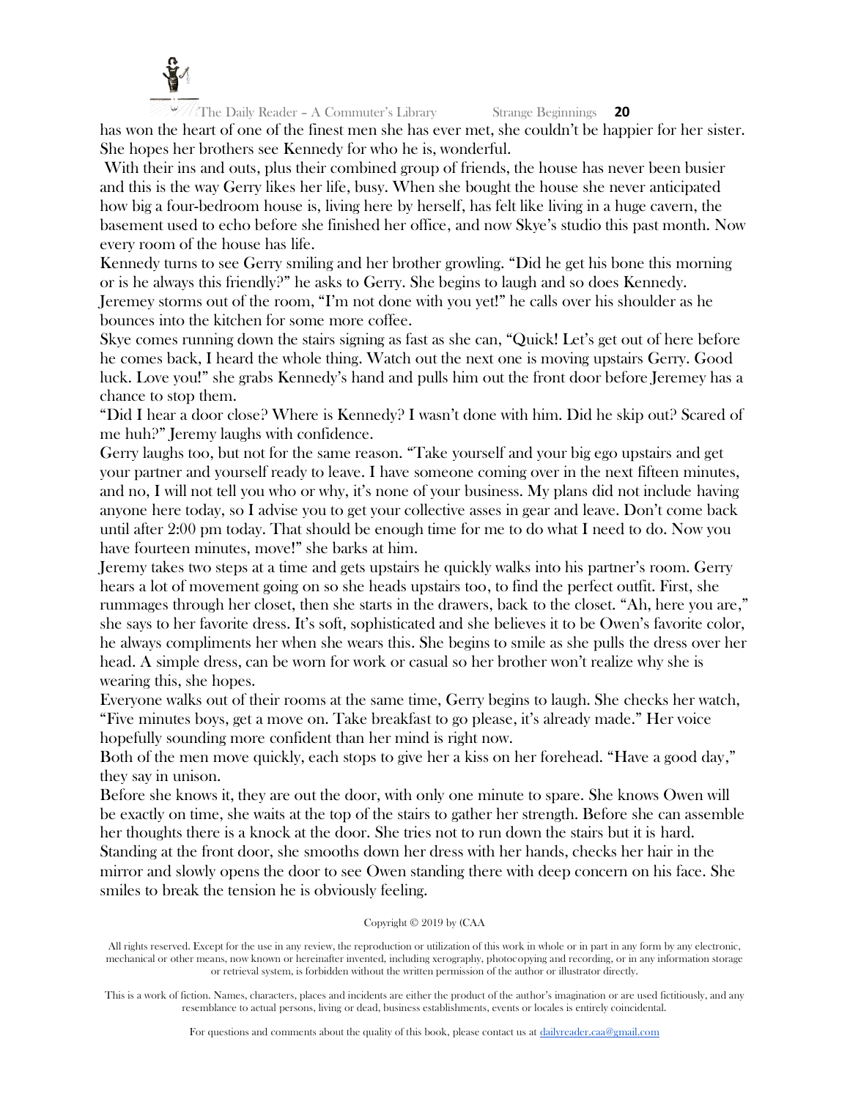

The Daily Reader – A Commuter's Library Strange Beginnings **20** has won the heart of one of the finest men she has ever met, she couldn't be happier for her sister. She hopes her brothers see Kennedy for who he is, wonderful.

With their ins and outs, plus their combined group of friends, the house has never been busier and this is the way Gerry likes her life, busy. When she bought the house she never anticipated how big a four-bedroom house is, living here by herself, has felt like living in a huge cavern, the basement used to echo before she finished her office, and now Skye's studio this past month. Now every room of the house has life.

Kennedy turns to see Gerry smiling and her brother growling. "Did he get his bone this morning or is he always this friendly?" he asks to Gerry. She begins to laugh and so does Kennedy. Jeremey storms out of the room, "I'm not done with you yet!" he calls over his shoulder as he bounces into the kitchen for some more coffee.

Skye comes running down the stairs signing as fast as she can, "Quick! Let's get out of here before he comes back, I heard the whole thing. Watch out the next one is moving upstairs Gerry. Good luck. Love you!" she grabs Kennedy's hand and pulls him out the front door before Jeremey has a chance to stop them.

"Did I hear a door close? Where is Kennedy? I wasn't done with him. Did he skip out? Scared of me huh?" Jeremy laughs with confidence.

Gerry laughs too, but not for the same reason. "Take yourself and your big ego upstairs and get your partner and yourself ready to leave. I have someone coming over in the next fifteen minutes, and no, I will not tell you who or why, it's none of your business. My plans did not include having anyone here today, so I advise you to get your collective asses in gear and leave. Don't come back until after 2:00 pm today. That should be enough time for me to do what I need to do. Now you have fourteen minutes, move!" she barks at him.

Jeremy takes two steps at a time and gets upstairs he quickly walks into his partner's room. Gerry hears a lot of movement going on so she heads upstairs too, to find the perfect outfit. First, she rummages through her closet, then she starts in the drawers, back to the closet. "Ah, here you are," she says to her favorite dress. It's soft, sophisticated and she believes it to be Owen's favorite color, he always compliments her when she wears this. She begins to smile as she pulls the dress over her head. A simple dress, can be worn for work or casual so her brother won't realize why she is wearing this, she hopes.

Everyone walks out of their rooms at the same time, Gerry begins to laugh. She checks her watch, "Five minutes boys, get a move on. Take breakfast to go please, it's already made." Her voice hopefully sounding more confident than her mind is right now.

Both of the men move quickly, each stops to give her a kiss on her forehead. "Have a good day," they say in unison.

Before she knows it, they are out the door, with only one minute to spare. She knows Owen will be exactly on time, she waits at the top of the stairs to gather her strength. Before she can assemble her thoughts there is a knock at the door. She tries not to run down the stairs but it is hard. Standing at the front door, she smooths down her dress with her hands, checks her hair in the mirror and slowly opens the door to see Owen standing there with deep concern on his face. She smiles to break the tension he is obviously feeling.

#### Copyright © 2019 by (CAA

All rights reserved. Except for the use in any review, the reproduction or utilization of this work in whole or in part in any form by any electronic, mechanical or other means, now known or hereinafter invented, including xerography, photocopying and recording, or in any information storage or retrieval system, is forbidden without the written permission of the author or illustrator directly.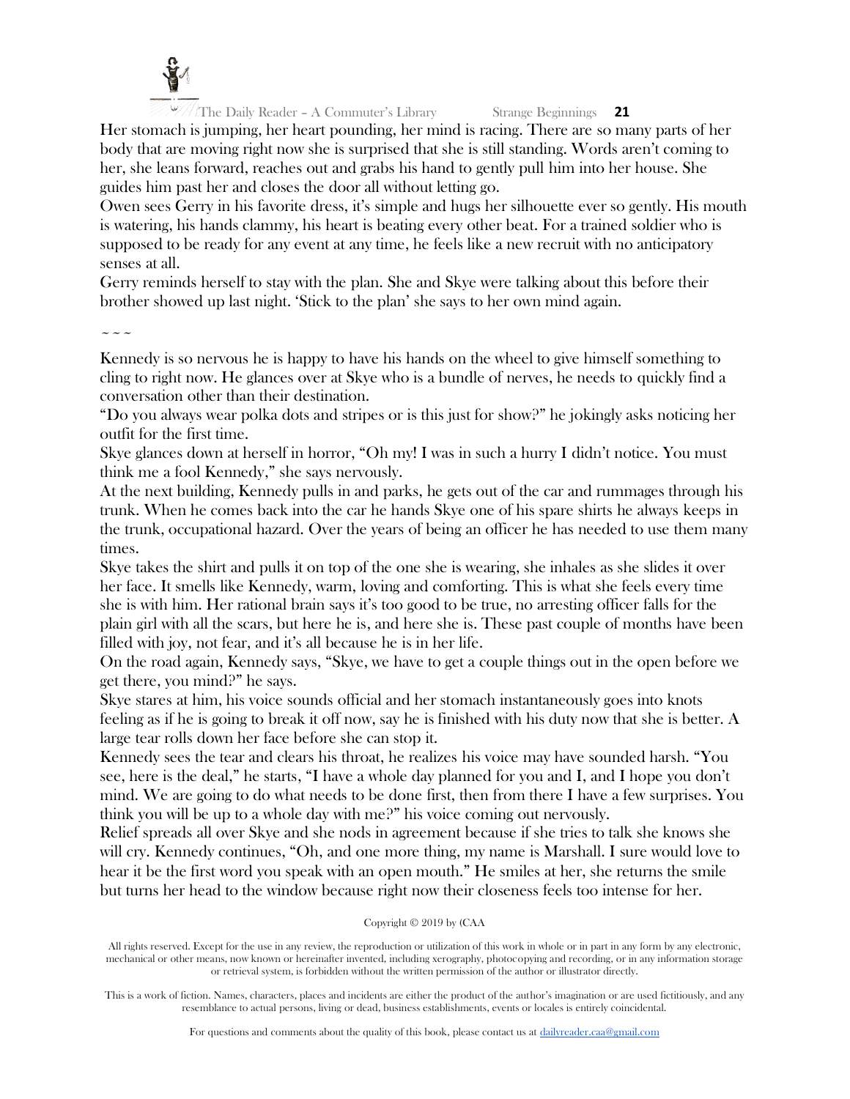

Her stomach is jumping, her heart pounding, her mind is racing. There are so many parts of her body that are moving right now she is surprised that she is still standing. Words aren't coming to her, she leans forward, reaches out and grabs his hand to gently pull him into her house. She guides him past her and closes the door all without letting go.

Owen sees Gerry in his favorite dress, it's simple and hugs her silhouette ever so gently. His mouth is watering, his hands clammy, his heart is beating every other beat. For a trained soldier who is supposed to be ready for any event at any time, he feels like a new recruit with no anticipatory senses at all.

Gerry reminds herself to stay with the plan. She and Skye were talking about this before their brother showed up last night. 'Stick to the plan' she says to her own mind again.

 $\sim$   $\sim$   $\sim$ 

Kennedy is so nervous he is happy to have his hands on the wheel to give himself something to cling to right now. He glances over at Skye who is a bundle of nerves, he needs to quickly find a conversation other than their destination.

"Do you always wear polka dots and stripes or is this just for show?" he jokingly asks noticing her outfit for the first time.

Skye glances down at herself in horror, "Oh my! I was in such a hurry I didn't notice. You must think me a fool Kennedy," she says nervously.

At the next building, Kennedy pulls in and parks, he gets out of the car and rummages through his trunk. When he comes back into the car he hands Skye one of his spare shirts he always keeps in the trunk, occupational hazard. Over the years of being an officer he has needed to use them many times.

Skye takes the shirt and pulls it on top of the one she is wearing, she inhales as she slides it over her face. It smells like Kennedy, warm, loving and comforting. This is what she feels every time she is with him. Her rational brain says it's too good to be true, no arresting officer falls for the plain girl with all the scars, but here he is, and here she is. These past couple of months have been filled with joy, not fear, and it's all because he is in her life.

On the road again, Kennedy says, "Skye, we have to get a couple things out in the open before we get there, you mind?" he says.

Skye stares at him, his voice sounds official and her stomach instantaneously goes into knots feeling as if he is going to break it off now, say he is finished with his duty now that she is better. A large tear rolls down her face before she can stop it.

Kennedy sees the tear and clears his throat, he realizes his voice may have sounded harsh. "You see, here is the deal," he starts, "I have a whole day planned for you and I, and I hope you don't mind. We are going to do what needs to be done first, then from there I have a few surprises. You think you will be up to a whole day with me?" his voice coming out nervously.

Relief spreads all over Skye and she nods in agreement because if she tries to talk she knows she will cry. Kennedy continues, "Oh, and one more thing, my name is Marshall. I sure would love to hear it be the first word you speak with an open mouth." He smiles at her, she returns the smile but turns her head to the window because right now their closeness feels too intense for her.

# Copyright © 2019 by (CAA

All rights reserved. Except for the use in any review, the reproduction or utilization of this work in whole or in part in any form by any electronic, mechanical or other means, now known or hereinafter invented, including xerography, photocopying and recording, or in any information storage or retrieval system, is forbidden without the written permission of the author or illustrator directly.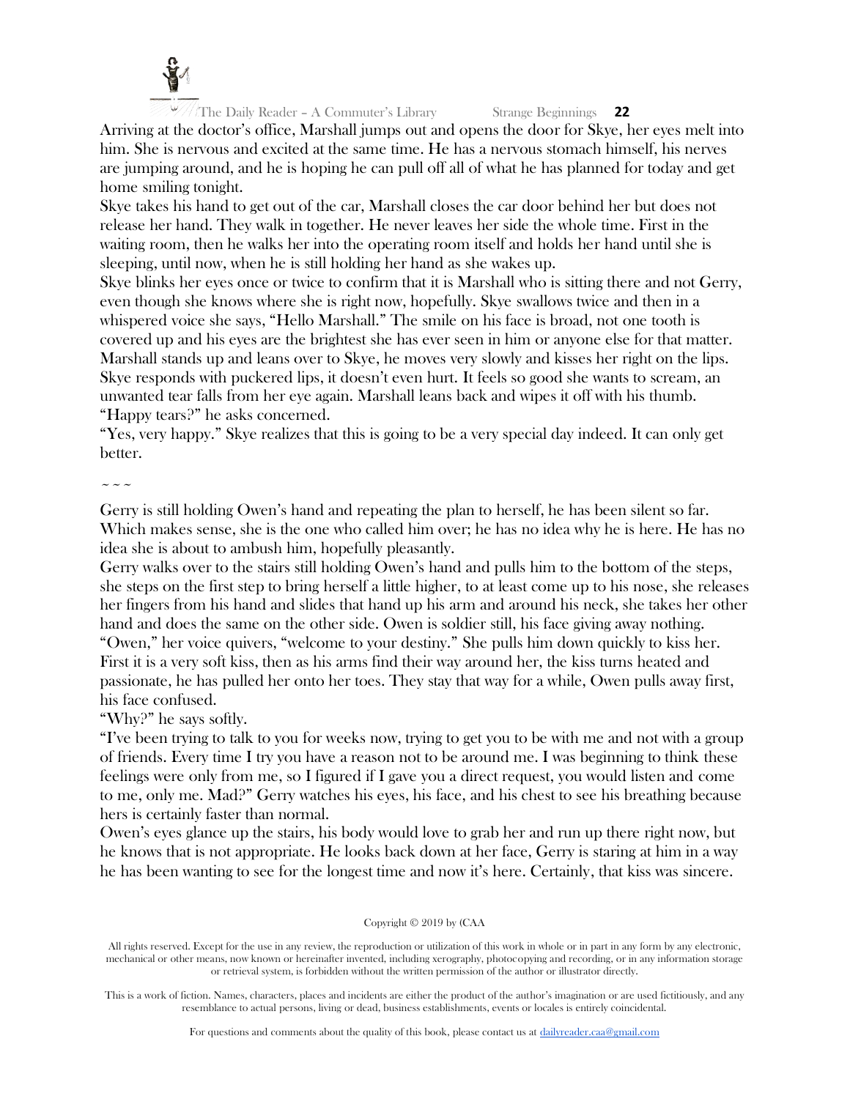

Arriving at the doctor's office, Marshall jumps out and opens the door for Skye, her eyes melt into him. She is nervous and excited at the same time. He has a nervous stomach himself, his nerves are jumping around, and he is hoping he can pull off all of what he has planned for today and get home smiling tonight.

Skye takes his hand to get out of the car, Marshall closes the car door behind her but does not release her hand. They walk in together. He never leaves her side the whole time. First in the waiting room, then he walks her into the operating room itself and holds her hand until she is sleeping, until now, when he is still holding her hand as she wakes up.

Skye blinks her eyes once or twice to confirm that it is Marshall who is sitting there and not Gerry, even though she knows where she is right now, hopefully. Skye swallows twice and then in a whispered voice she says, "Hello Marshall." The smile on his face is broad, not one tooth is covered up and his eyes are the brightest she has ever seen in him or anyone else for that matter. Marshall stands up and leans over to Skye, he moves very slowly and kisses her right on the lips. Skye responds with puckered lips, it doesn't even hurt. It feels so good she wants to scream, an unwanted tear falls from her eye again. Marshall leans back and wipes it off with his thumb. "Happy tears?" he asks concerned.

"Yes, very happy." Skye realizes that this is going to be a very special day indeed. It can only get better.

 $\sim$   $\sim$   $\sim$ 

Gerry is still holding Owen's hand and repeating the plan to herself, he has been silent so far. Which makes sense, she is the one who called him over; he has no idea why he is here. He has no idea she is about to ambush him, hopefully pleasantly.

Gerry walks over to the stairs still holding Owen's hand and pulls him to the bottom of the steps, she steps on the first step to bring herself a little higher, to at least come up to his nose, she releases her fingers from his hand and slides that hand up his arm and around his neck, she takes her other hand and does the same on the other side. Owen is soldier still, his face giving away nothing. "Owen," her voice quivers, "welcome to your destiny." She pulls him down quickly to kiss her. First it is a very soft kiss, then as his arms find their way around her, the kiss turns heated and

passionate, he has pulled her onto her toes. They stay that way for a while, Owen pulls away first, his face confused.

"Why?" he says softly.

"I've been trying to talk to you for weeks now, trying to get you to be with me and not with a group of friends. Every time I try you have a reason not to be around me. I was beginning to think these feelings were only from me, so I figured if I gave you a direct request, you would listen and come to me, only me. Mad?" Gerry watches his eyes, his face, and his chest to see his breathing because hers is certainly faster than normal.

Owen's eyes glance up the stairs, his body would love to grab her and run up there right now, but he knows that is not appropriate. He looks back down at her face, Gerry is staring at him in a way he has been wanting to see for the longest time and now it's here. Certainly, that kiss was sincere.

# Copyright © 2019 by (CAA

All rights reserved. Except for the use in any review, the reproduction or utilization of this work in whole or in part in any form by any electronic, mechanical or other means, now known or hereinafter invented, including xerography, photocopying and recording, or in any information storage or retrieval system, is forbidden without the written permission of the author or illustrator directly.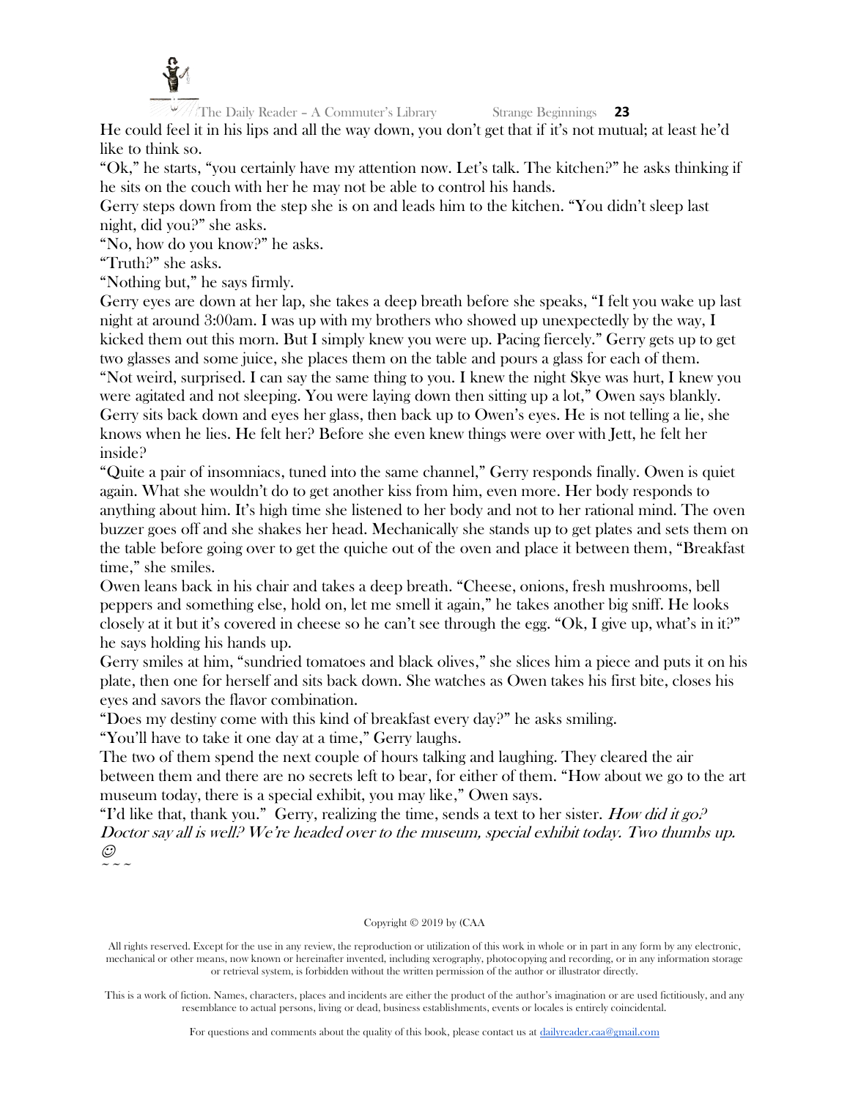

He could feel it in his lips and all the way down, you don't get that if it's not mutual; at least he'd like to think so.

"Ok," he starts, "you certainly have my attention now. Let's talk. The kitchen?" he asks thinking if he sits on the couch with her he may not be able to control his hands.

Gerry steps down from the step she is on and leads him to the kitchen. "You didn't sleep last night, did you?" she asks.

"No, how do you know?" he asks.

"Truth?" she asks.

"Nothing but," he says firmly.

Gerry eyes are down at her lap, she takes a deep breath before she speaks, "I felt you wake up last night at around 3:00am. I was up with my brothers who showed up unexpectedly by the way, I kicked them out this morn. But I simply knew you were up. Pacing fiercely." Gerry gets up to get two glasses and some juice, she places them on the table and pours a glass for each of them. "Not weird, surprised. I can say the same thing to you. I knew the night Skye was hurt, I knew you were agitated and not sleeping. You were laying down then sitting up a lot," Owen says blankly. Gerry sits back down and eyes her glass, then back up to Owen's eyes. He is not telling a lie, she knows when he lies. He felt her? Before she even knew things were over with Jett, he felt her inside?

"Quite a pair of insomniacs, tuned into the same channel," Gerry responds finally. Owen is quiet again. What she wouldn't do to get another kiss from him, even more. Her body responds to anything about him. It's high time she listened to her body and not to her rational mind. The oven buzzer goes off and she shakes her head. Mechanically she stands up to get plates and sets them on the table before going over to get the quiche out of the oven and place it between them, "Breakfast time," she smiles.

Owen leans back in his chair and takes a deep breath. "Cheese, onions, fresh mushrooms, bell peppers and something else, hold on, let me smell it again," he takes another big sniff. He looks closely at it but it's covered in cheese so he can't see through the egg. "Ok, I give up, what's in it?" he says holding his hands up.

Gerry smiles at him, "sundried tomatoes and black olives," she slices him a piece and puts it on his plate, then one for herself and sits back down. She watches as Owen takes his first bite, closes his eyes and savors the flavor combination.

"Does my destiny come with this kind of breakfast every day?" he asks smiling.

"You'll have to take it one day at a time," Gerry laughs.

The two of them spend the next couple of hours talking and laughing. They cleared the air between them and there are no secrets left to bear, for either of them. "How about we go to the art museum today, there is a special exhibit, you may like," Owen says.

"I'd like that, thank you." Gerry, realizing the time, sends a text to her sister. How did it go. Doctor say all is well? We're headed over to the museum, special exhibit today. Two thumbs up.  $\odot$  $\sim$   $\sim$   $\sim$ 

#### Copyright © 2019 by (CAA

All rights reserved. Except for the use in any review, the reproduction or utilization of this work in whole or in part in any form by any electronic, mechanical or other means, now known or hereinafter invented, including xerography, photocopying and recording, or in any information storage or retrieval system, is forbidden without the written permission of the author or illustrator directly.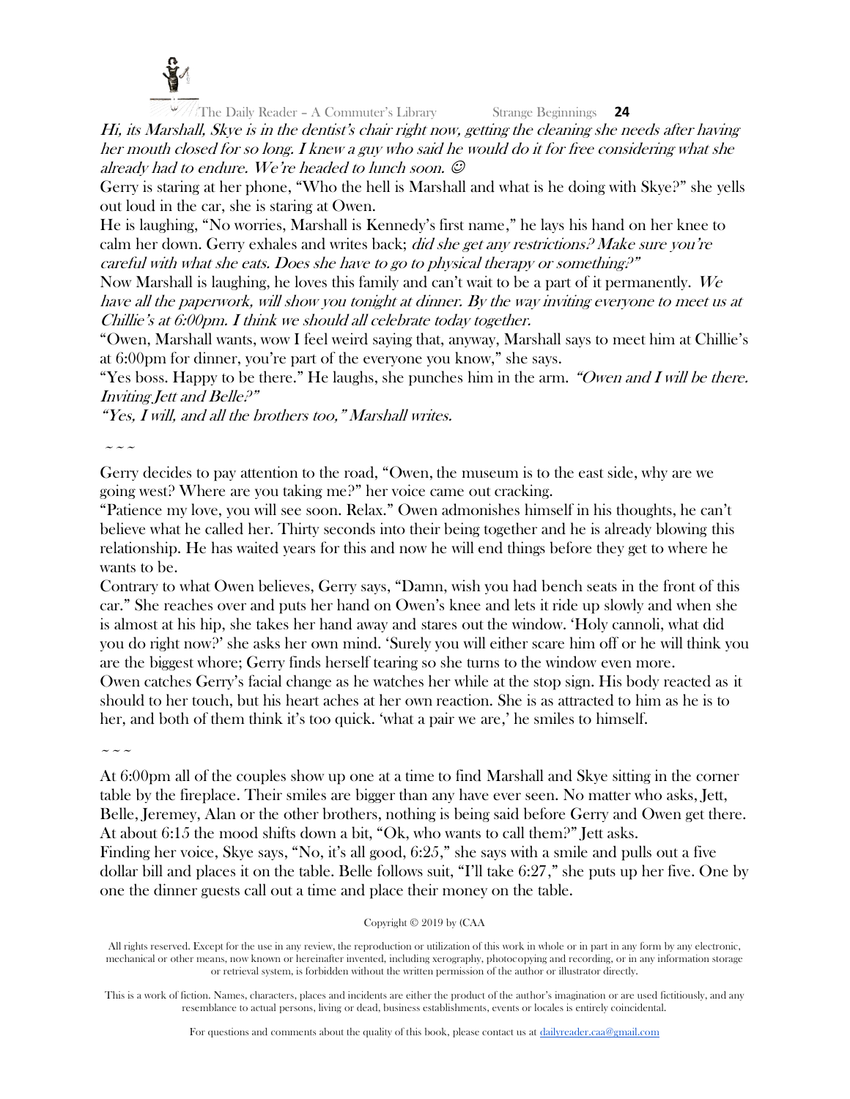

Hi, its Marshall, Skye is in the dentist's chair right now, getting the cleaning she needs after having her mouth closed for so long. I knew a guy who said he would do it for free considering what she already had to endure. We're headed to lunch soon.  $\mathcal O$ 

Gerry is staring at her phone, "Who the hell is Marshall and what is he doing with Skye?" she yells out loud in the car, she is staring at Owen.

He is laughing, "No worries, Marshall is Kennedy's first name," he lays his hand on her knee to calm her down. Gerry exhales and writes back; did she get any restrictions? Make sure you're careful with what she eats. Does she have to go to physical therapy or something?"

Now Marshall is laughing, he loves this family and can't wait to be a part of it permanently. We have all the paperwork, will show you tonight at dinner. By the way inviting everyone to meet us at Chillie's at 6:00pm. I think we should all celebrate today together.

"Owen, Marshall wants, wow I feel weird saying that, anyway, Marshall says to meet him at Chillie's at 6:00pm for dinner, you're part of the everyone you know," she says.

"Yes boss. Happy to be there." He laughs, she punches him in the arm. "Owen and I will be there." Inviting Jett and Belle?"

"Yes, I will, and all the brothers too," Marshall writes.

 $\sim$   $\sim$   $\sim$ 

Gerry decides to pay attention to the road, "Owen, the museum is to the east side, why are we going west? Where are you taking me?" her voice came out cracking.

"Patience my love, you will see soon. Relax." Owen admonishes himself in his thoughts, he can't believe what he called her. Thirty seconds into their being together and he is already blowing this relationship. He has waited years for this and now he will end things before they get to where he wants to be.

Contrary to what Owen believes, Gerry says, "Damn, wish you had bench seats in the front of this car." She reaches over and puts her hand on Owen's knee and lets it ride up slowly and when she is almost at his hip, she takes her hand away and stares out the window. 'Holy cannoli, what did you do right now?' she asks her own mind. 'Surely you will either scare him off or he will think you are the biggest whore; Gerry finds herself tearing so she turns to the window even more. Owen catches Gerry's facial change as he watches her while at the stop sign. His body reacted as it should to her touch, but his heart aches at her own reaction. She is as attracted to him as he is to her, and both of them think it's too quick. 'what a pair we are,' he smiles to himself.

 $\sim$   $\sim$   $\sim$ 

At 6:00pm all of the couples show up one at a time to find Marshall and Skye sitting in the corner table by the fireplace. Their smiles are bigger than any have ever seen. No matter who asks, Jett, Belle, Jeremey, Alan or the other brothers, nothing is being said before Gerry and Owen get there. At about 6:15 the mood shifts down a bit, "Ok, who wants to call them?" Jett asks. Finding her voice, Skye says, "No, it's all good, 6:25," she says with a smile and pulls out a five dollar bill and places it on the table. Belle follows suit, "I'll take 6:27," she puts up her five. One by one the dinner guests call out a time and place their money on the table.

# Copyright © 2019 by (CAA

All rights reserved. Except for the use in any review, the reproduction or utilization of this work in whole or in part in any form by any electronic, mechanical or other means, now known or hereinafter invented, including xerography, photocopying and recording, or in any information storage or retrieval system, is forbidden without the written permission of the author or illustrator directly.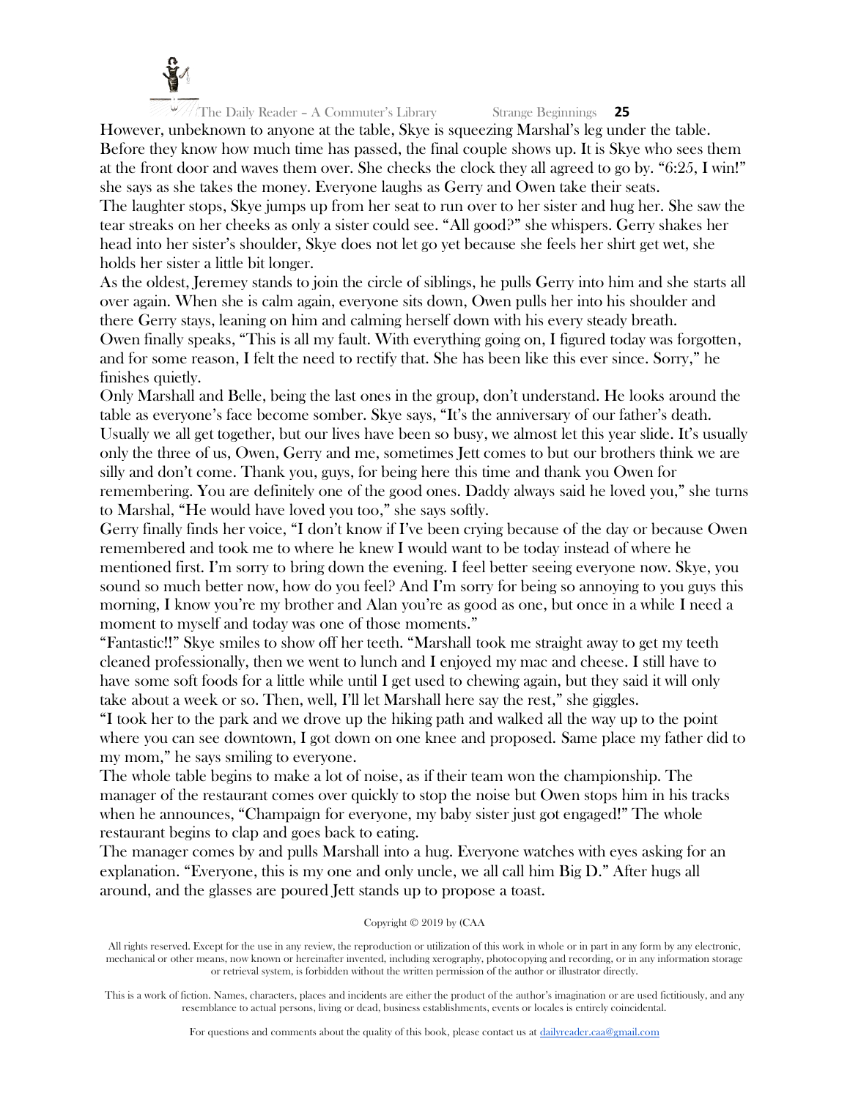

However, unbeknown to anyone at the table, Skye is squeezing Marshal's leg under the table. Before they know how much time has passed, the final couple shows up. It is Skye who sees them at the front door and waves them over. She checks the clock they all agreed to go by. "6:25, I win!" she says as she takes the money. Everyone laughs as Gerry and Owen take their seats. The laughter stops, Skye jumps up from her seat to run over to her sister and hug her. She saw the tear streaks on her cheeks as only a sister could see. "All good?" she whispers. Gerry shakes her head into her sister's shoulder, Skye does not let go yet because she feels her shirt get wet, she holds her sister a little bit longer.

As the oldest, Jeremey stands to join the circle of siblings, he pulls Gerry into him and she starts all over again. When she is calm again, everyone sits down, Owen pulls her into his shoulder and there Gerry stays, leaning on him and calming herself down with his every steady breath. Owen finally speaks, "This is all my fault. With everything going on, I figured today was forgotten, and for some reason, I felt the need to rectify that. She has been like this ever since. Sorry," he finishes quietly.

Only Marshall and Belle, being the last ones in the group, don't understand. He looks around the table as everyone's face become somber. Skye says, "It's the anniversary of our father's death. Usually we all get together, but our lives have been so busy, we almost let this year slide. It's usually only the three of us, Owen, Gerry and me, sometimes Jett comes to but our brothers think we are silly and don't come. Thank you, guys, for being here this time and thank you Owen for remembering. You are definitely one of the good ones. Daddy always said he loved you," she turns to Marshal, "He would have loved you too," she says softly.

Gerry finally finds her voice, "I don't know if I've been crying because of the day or because Owen remembered and took me to where he knew I would want to be today instead of where he mentioned first. I'm sorry to bring down the evening. I feel better seeing everyone now. Skye, you sound so much better now, how do you feel? And I'm sorry for being so annoying to you guys this morning, I know you're my brother and Alan you're as good as one, but once in a while I need a moment to myself and today was one of those moments."

"Fantastic!!" Skye smiles to show off her teeth. "Marshall took me straight away to get my teeth cleaned professionally, then we went to lunch and I enjoyed my mac and cheese. I still have to have some soft foods for a little while until I get used to chewing again, but they said it will only take about a week or so. Then, well, I'll let Marshall here say the rest," she giggles.

"I took her to the park and we drove up the hiking path and walked all the way up to the point where you can see downtown, I got down on one knee and proposed. Same place my father did to my mom," he says smiling to everyone.

The whole table begins to make a lot of noise, as if their team won the championship. The manager of the restaurant comes over quickly to stop the noise but Owen stops him in his tracks when he announces, "Champaign for everyone, my baby sister just got engaged!" The whole restaurant begins to clap and goes back to eating.

The manager comes by and pulls Marshall into a hug. Everyone watches with eyes asking for an explanation. "Everyone, this is my one and only uncle, we all call him Big D." After hugs all around, and the glasses are poured Jett stands up to propose a toast.

# Copyright © 2019 by (CAA

All rights reserved. Except for the use in any review, the reproduction or utilization of this work in whole or in part in any form by any electronic, mechanical or other means, now known or hereinafter invented, including xerography, photocopying and recording, or in any information storage or retrieval system, is forbidden without the written permission of the author or illustrator directly.